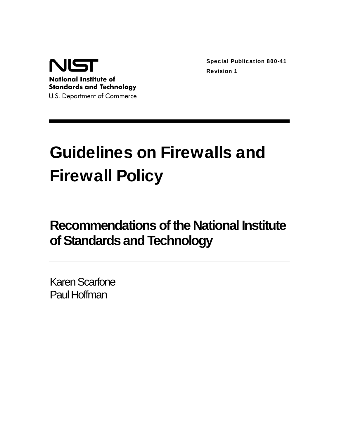

Special Publication 800-41 Revision 1

# Guidelines on Firewalls and Firewall Policy

# **Recommendations of the National Institute of Standards and Technology**

Karen Scarfone Paul Hoffman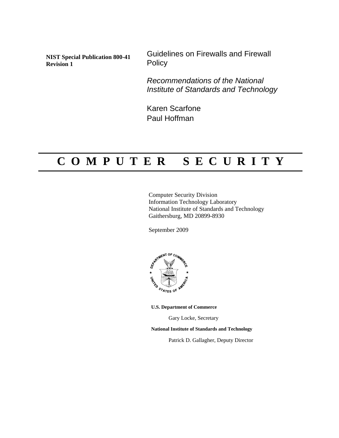**NIST Special Publication 800-41 Revision 1** 

Guidelines on Firewalls and Firewall **Policy** 

*Recommendations of the National Institute of Standards and Technology* 

Karen Scarfone Paul Hoffman

# **C O M P U T E R S E C U R I T Y**

Computer Security Division Information Technology Laboratory National Institute of Standards and Technology Gaithersburg, MD 20899-8930

September 2009



**U.S. Department of Commerce** 

Gary Locke, Secretary

**National Institute of Standards and Technology**

Patrick D. Gallagher, Deputy Director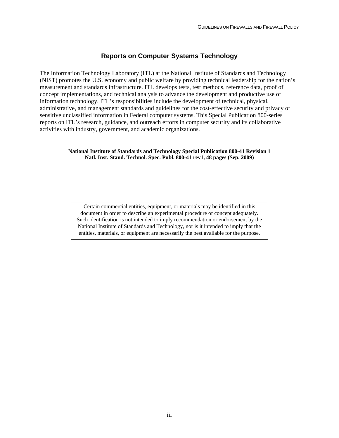#### **Reports on Computer Systems Technology**

The Information Technology Laboratory (ITL) at the National Institute of Standards and Technology (NIST) promotes the U.S. economy and public welfare by providing technical leadership for the nation's measurement and standards infrastructure. ITL develops tests, test methods, reference data, proof of concept implementations, and technical analysis to advance the development and productive use of information technology. ITL's responsibilities include the development of technical, physical, administrative, and management standards and guidelines for the cost-effective security and privacy of sensitive unclassified information in Federal computer systems. This Special Publication 800-series reports on ITL's research, guidance, and outreach efforts in computer security and its collaborative activities with industry, government, and academic organizations.

#### **National Institute of Standards and Technology Special Publication 800-41 Revision 1 Natl. Inst. Stand. Technol. Spec. Publ. 800-41 rev1, 48 pages (Sep. 2009)**

Certain commercial entities, equipment, or materials may be identified in this document in order to describe an experimental procedure or concept adequately. Such identification is not intended to imply recommendation or endorsement by the National Institute of Standards and Technology, nor is it intended to imply that the entities, materials, or equipment are necessarily the best available for the purpose.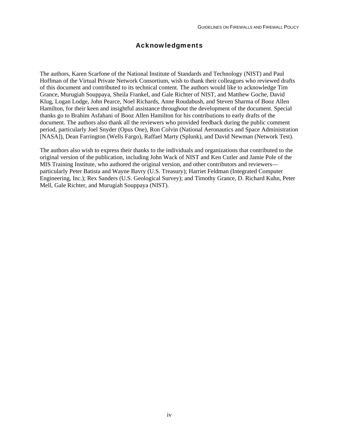#### Acknowledgments

The authors, Karen Scarfone of the National Institute of Standards and Technology (NIST) and Paul Hoffman of the Virtual Private Network Consortium, wish to thank their colleagues who reviewed drafts of this document and contributed to its technical content. The authors would like to acknowledge Tim Grance, Murugiah Souppaya, Sheila Frankel, and Gale Richter of NIST, and Matthew Goche, David Klug, Logan Lodge, John Pearce, Noel Richards, Anne Roudabush, and Steven Sharma of Booz Allen Hamilton, for their keen and insightful assistance throughout the development of the document. Special thanks go to Brahim Asfahani of Booz Allen Hamilton for his contributions to early drafts of the document. The authors also thank all the reviewers who provided feedback during the public comment period, particularly Joel Snyder (Opus One), Ron Colvin (National Aeronautics and Space Administration [NASA]), Dean Farrington (Wells Fargo), Raffael Marty (Splunk), and David Newman (Network Test).

The authors also wish to express their thanks to the individuals and organizations that contributed to the original version of the publication, including John Wack of NIST and Ken Cutler and Jamie Pole of the MIS Training Institute, who authored the original version, and other contributors and reviewers particularly Peter Batista and Wayne Bavry (U.S. Treasury); Harriet Feldman (Integrated Computer Engineering, Inc.); Rex Sanders (U.S. Geological Survey); and Timothy Grance, D. Richard Kuhn, Peter Mell, Gale Richter, and Murugiah Souppaya (NIST).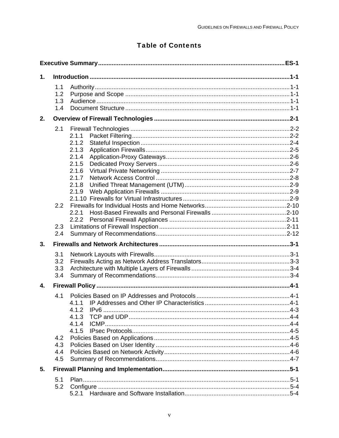### **Table of Contents**

| 1. |                                 |                                                                                                 |  |
|----|---------------------------------|-------------------------------------------------------------------------------------------------|--|
|    | 1.1<br>1.2<br>1.3<br>1.4        |                                                                                                 |  |
| 2. |                                 |                                                                                                 |  |
|    | 2.1<br>2.2<br>2.3<br>2.4        | 2.1.1<br>2.1.2<br>2.1.3<br>2.1.4<br>2.1.5<br>2.1.6<br>2.1.7<br>2.1.8<br>2.1.9<br>2.2.1<br>2.2.2 |  |
| 3. |                                 |                                                                                                 |  |
|    | 3.1<br>3.2<br>3.3<br>3.4        |                                                                                                 |  |
| 4. |                                 |                                                                                                 |  |
|    | 4.1<br>4.2<br>4.3<br>4.4<br>4.5 | 4.1.2<br>4.1.3<br>4.1.4<br>4.1.5                                                                |  |
| 5. |                                 |                                                                                                 |  |
|    | 5.1<br>5.2                      |                                                                                                 |  |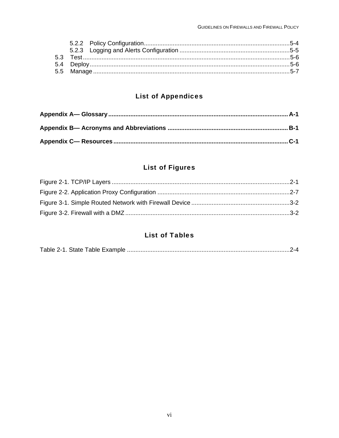# **List of Appendices**

# **List of Figures**

### **List of Tables**

|--|--|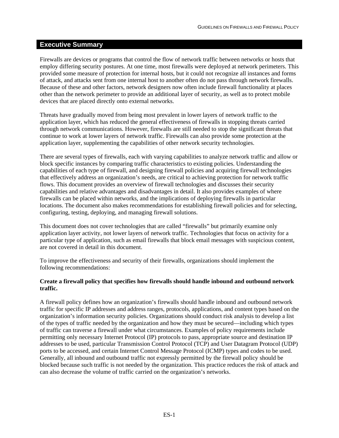#### <span id="page-6-0"></span>**Executive Summary**

Firewalls are devices or programs that control the flow of network traffic between networks or hosts that employ differing security postures. At one time, most firewalls were deployed at network perimeters. This provided some measure of protection for internal hosts, but it could not recognize all instances and forms of attack, and attacks sent from one internal host to another often do not pass through network firewalls. Because of these and other factors, network designers now often include firewall functionality at places other than the network perimeter to provide an additional layer of security, as well as to protect mobile devices that are placed directly onto external networks.

Threats have gradually moved from being most prevalent in lower layers of network traffic to the application layer, which has reduced the general effectiveness of firewalls in stopping threats carried through network communications. However, firewalls are still needed to stop the significant threats that continue to work at lower layers of network traffic. Firewalls can also provide some protection at the application layer, supplementing the capabilities of other network security technologies.

There are several types of firewalls, each with varying capabilities to analyze network traffic and allow or block specific instances by comparing traffic characteristics to existing policies. Understanding the capabilities of each type of firewall, and designing firewall policies and acquiring firewall technologies that effectively address an organization's needs, are critical to achieving protection for network traffic flows. This document provides an overview of firewall technologies and discusses their security capabilities and relative advantages and disadvantages in detail. It also provides examples of where firewalls can be placed within networks, and the implications of deploying firewalls in particular locations. The document also makes recommendations for establishing firewall policies and for selecting, configuring, testing, deploying, and managing firewall solutions.

This document does not cover technologies that are called "firewalls" but primarily examine only application layer activity, not lower layers of network traffic. Technologies that focus on activity for a particular type of application, such as email firewalls that block email messages with suspicious content, are not covered in detail in this document.

To improve the effectiveness and security of their firewalls, organizations should implement the following recommendations:

#### **Create a firewall policy that specifies how firewalls should handle inbound and outbound network traffic.**

A firewall policy defines how an organization's firewalls should handle inbound and outbound network traffic for specific IP addresses and address ranges, protocols, applications, and content types based on the organization's information security policies. Organizations should conduct risk analysis to develop a list of the types of traffic needed by the organization and how they must be secured—including which types of traffic can traverse a firewall under what circumstances. Examples of policy requirements include permitting only necessary Internet Protocol (IP) protocols to pass, appropriate source and destination IP addresses to be used, particular Transmission Control Protocol (TCP) and User Datagram Protocol (UDP) ports to be accessed, and certain Internet Control Message Protocol (ICMP) types and codes to be used. Generally, all inbound and outbound traffic not expressly permitted by the firewall policy should be blocked because such traffic is not needed by the organization. This practice reduces the risk of attack and can also decrease the volume of traffic carried on the organization's networks.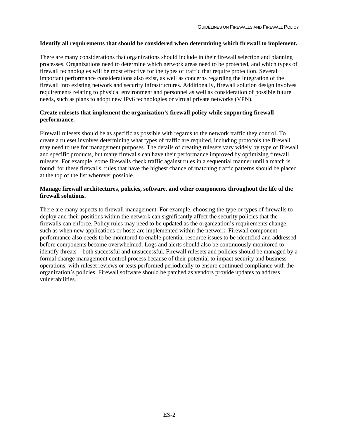#### **Identify all requirements that should be considered when determining which firewall to implement.**

There are many considerations that organizations should include in their firewall selection and planning processes. Organizations need to determine which network areas need to be protected, and which types of firewall technologies will be most effective for the types of traffic that require protection. Several important performance considerations also exist, as well as concerns regarding the integration of the firewall into existing network and security infrastructures. Additionally, firewall solution design involves requirements relating to physical environment and personnel as well as consideration of possible future needs, such as plans to adopt new IPv6 technologies or virtual private networks (VPN).

#### **Create rulesets that implement the organization's firewall policy while supporting firewall performance.**

Firewall rulesets should be as specific as possible with regards to the network traffic they control. To create a ruleset involves determining what types of traffic are required, including protocols the firewall may need to use for management purposes. The details of creating rulesets vary widely by type of firewall and specific products, but many firewalls can have their performance improved by optimizing firewall rulesets. For example, some firewalls check traffic against rules in a sequential manner until a match is found; for these firewalls, rules that have the highest chance of matching traffic patterns should be placed at the top of the list wherever possible.

#### **Manage firewall architectures, policies, software, and other components throughout the life of the firewall solutions.**

There are many aspects to firewall management. For example, choosing the type or types of firewalls to deploy and their positions within the network can significantly affect the security policies that the firewalls can enforce. Policy rules may need to be updated as the organization's requirements change, such as when new applications or hosts are implemented within the network. Firewall component performance also needs to be monitored to enable potential resource issues to be identified and addressed before components become overwhelmed. Logs and alerts should also be continuously monitored to identify threats—both successful and unsuccessful. Firewall rulesets and policies should be managed by a formal change management control process because of their potential to impact security and business operations, with ruleset reviews or tests performed periodically to ensure continued compliance with the organization's policies. Firewall software should be patched as vendors provide updates to address vulnerabilities.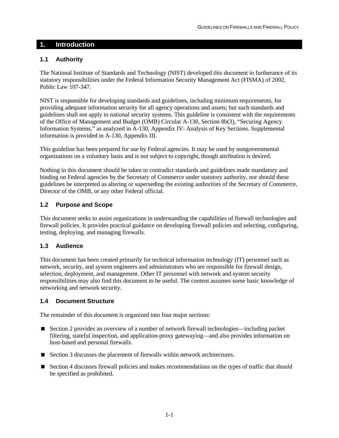#### <span id="page-8-0"></span>**1. Introduction**

#### **1.1 Authority**

The National Institute of Standards and Technology (NIST) developed this document in furtherance of its statutory responsibilities under the Federal Information Security Management Act (FISMA) of 2002, Public Law 107-347.

NIST is responsible for developing standards and guidelines, including minimum requirements, for providing adequate information security for all agency operations and assets; but such standards and guidelines shall not apply to national security systems. This guideline is consistent with the requirements of the Office of Management and Budget (OMB) Circular A-130, Section 8b(3), "Securing Agency Information Systems," as analyzed in A-130, Appendix IV: Analysis of Key Sections. Supplemental information is provided in A-130, Appendix III.

This guideline has been prepared for use by Federal agencies. It may be used by nongovernmental organizations on a voluntary basis and is not subject to copyright, though attribution is desired.

Nothing in this document should be taken to contradict standards and guidelines made mandatory and binding on Federal agencies by the Secretary of Commerce under statutory authority, nor should these guidelines be interpreted as altering or superseding the existing authorities of the Secretary of Commerce, Director of the OMB, or any other Federal official.

#### **1.2 Purpose and Scope**

This document seeks to assist organizations in understanding the capabilities of firewall technologies and firewall policies. It provides practical guidance on developing firewall policies and selecting, configuring, testing, deploying, and managing firewalls.

#### **1.3 Audience**

This document has been created primarily for technical information technology (IT) personnel such as network, security, and system engineers and administrators who are responsible for firewall design, selection, deployment, and management. Other IT personnel with network and system security responsibilities may also find this document to be useful. The content assumes some basic knowledge of networking and network security.

#### **1.4 Document Structure**

The remainder of this document is organized into four major sections:

- Section 2 provides an overview of a number of network firewall technologies—including packet filtering, stateful inspection, and application-proxy gatewaying—and also provides information on host-based and personal firewalls.
- Section 3 discusses the placement of firewalls within network architectures.
- Section 4 discusses firewall policies and makes recommendations on the types of traffic that should be specified as prohibited.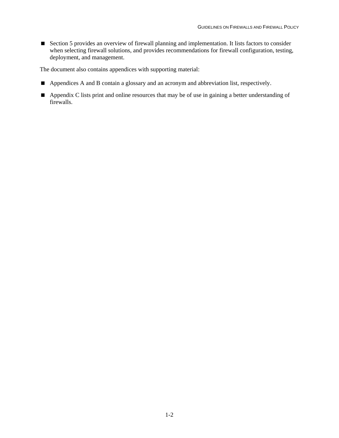■ Section 5 provides an overview of firewall planning and implementation. It lists factors to consider when selecting firewall solutions, and provides recommendations for firewall configuration, testing, deployment, and management.

The document also contains appendices with supporting material:

- Appendices A and B contain a glossary and an acronym and abbreviation list, respectively.
- Appendix C lists print and online resources that may be of use in gaining a better understanding of firewalls.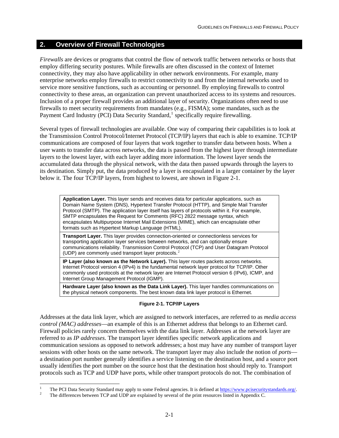#### <span id="page-10-0"></span>**2. Overview of Firewall Technologies**

*Firewalls* are devices or programs that control the flow of network traffic between networks or hosts that employ differing security postures. While firewalls are often discussed in the context of Internet connectivity, they may also have applicability in other network environments. For example, many enterprise networks employ firewalls to restrict connectivity to and from the internal networks used to service more sensitive functions, such as accounting or personnel. By employing firewalls to control connectivity to these areas, an organization can prevent unauthorized access to its systems and resources. Inclusion of a proper firewall provides an additional layer of security. Organizations often need to use firewalls to meet security requirements from mandates (e.g., FISMA); some mandates, such as the Payment Card Industry (PCI) Data Security Standard,<sup>[1](#page-10-1)</sup> specifically require firewalling.

Several types of firewall technologies are available. One way of comparing their capabilities is to look at the Transmission Control Protocol/Internet Protocol (TCP/IP) layers that each is able to examine. TCP/IP communications are composed of four layers that work together to transfer data between hosts. When a user wants to transfer data across networks, the data is passed from the highest layer through intermediate layers to the lowest layer, with each layer adding more information. The lowest layer sends the accumulated data through the physical network, with the data then passed upwards through the layers to its destination. Simply put, the data produced by a layer is encapsulated in a larger container by the layer below it. The four TCP/IP layers, from highest to lowest, are shown in Figure 2-1.

**Application Layer.** This layer sends and receives data for particular applications, such as Domain Name System (DNS), Hypertext Transfer Protocol (HTTP), and Simple Mail Transfer Protocol (SMTP). The application layer itself has layers of protocols within it. For example, SMTP encapsulates the Request for Comments (RFC) 2822 message syntax, which encapsulates Multipurpose Internet Mail Extensions (MIME), which can encapsulate other formats such as Hypertext Markup Language (HTML).

**Transport Layer.** This layer provides connection-oriented or connectionless services for transporting application layer services between networks, and can optionally ensure communications reliability. Transmission Control Protocol (TCP) and User Datagram Protocol (UDP) are commonly used transport layer protocols.[2](#page-10-2)

**IP Layer (also known as the Network Layer).** This layer routes packets across networks. Internet Protocol version 4 (IPv4) is the fundamental network layer protocol for TCP/IP. Other commonly used protocols at the network layer are Internet Protocol version 6 (IPv6), ICMP, and Internet Group Management Protocol (IGMP).

**Hardware Layer (also known as the Data Link Layer).** This layer handles communications on the physical network components. The best known data link layer protocol is Ethernet.

#### **Figure 2-1. TCP/IP Layers**

Addresses at the data link layer, which are assigned to network interfaces, are referred to as *media access control (MAC) addresses*—an example of this is an Ethernet address that belongs to an Ethernet card. Firewall policies rarely concern themselves with the data link layer. Addresses at the network layer are referred to as *IP addresses*. The transport layer identifies specific network applications and communication sessions as opposed to network addresses; a host may have any number of transport layer sessions with other hosts on the same network. The transport layer may also include the notion of *ports* a destination port number generally identifies a service listening on the destination host, and a source port usually identifies the port number on the source host that the destination host should reply to. Transport protocols such as TCP and UDP have ports, while other transport protocols do not. The combination of

<span id="page-10-1"></span>l 1 The PCI Data Security Standard may apply to some Federal agencies. It is defined at<https://www.pcisecuritystandards.org/>.

<span id="page-10-2"></span>The differences between TCP and UDP are explained by several of the print resources listed in Appendix C.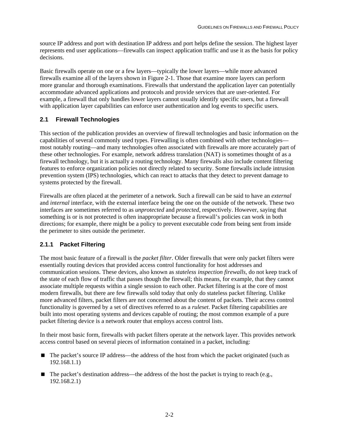<span id="page-11-0"></span>source IP address and port with destination IP address and port helps define the session. The highest layer represents end user applications—firewalls can inspect application traffic and use it as the basis for policy decisions.

Basic firewalls operate on one or a few layers—typically the lower layers—while more advanced firewalls examine all of the layers shown in Figure 2-1. Those that examine more layers can perform more granular and thorough examinations. Firewalls that understand the application layer can potentially accommodate advanced applications and protocols and provide services that are user-oriented. For example, a firewall that only handles lower layers cannot usually identify specific users, but a firewall with application layer capabilities can enforce user authentication and log events to specific users.

#### **2.1 Firewall Technologies**

This section of the publication provides an overview of firewall technologies and basic information on the capabilities of several commonly used types. Firewalling is often combined with other technologies most notably routing—and many technologies often associated with firewalls are more accurately part of these other technologies. For example, network address translation (NAT) is sometimes thought of as a firewall technology, but it is actually a routing technology. Many firewalls also include content filtering features to enforce organization policies not directly related to security. Some firewalls include intrusion prevention system (IPS) technologies, which can react to attacks that they detect to prevent damage to systems protected by the firewall.

Firewalls are often placed at the perimeter of a network. Such a firewall can be said to have an *external* and *internal* interface, with the external interface being the one on the outside of the network. These two interfaces are sometimes referred to as *unprotected* and *protected*, respectively. However, saying that something is or is not protected is often inappropriate because a firewall's policies can work in both directions; for example, there might be a policy to prevent executable code from being sent from inside the perimeter to sites outside the perimeter.

#### **2.1.1 Packet Filtering**

The most basic feature of a firewall is the *packet filter*. Older firewalls that were only packet filters were essentially routing devices that provided access control functionality for host addresses and communication sessions. These devices, also known as *stateless inspection firewalls*, do not keep track of the state of each flow of traffic that passes though the firewall; this means, for example, that they cannot associate multiple requests within a single session to each other. Packet filtering is at the core of most modern firewalls, but there are few firewalls sold today that only do stateless packet filtering. Unlike more advanced filters, packet filters are not concerned about the content of packets. Their access control functionality is governed by a set of directives referred to as a *ruleset*. Packet filtering capabilities are built into most operating systems and devices capable of routing; the most common example of a pure packet filtering device is a network router that employs access control lists.

In their most basic form, firewalls with packet filters operate at the network layer. This provides network access control based on several pieces of information contained in a packet, including:

- The packet's source IP address—the address of the host from which the packet originated (such as 192.168.1.1)
- $\blacksquare$  The packet's destination address—the address of the host the packet is trying to reach (e.g., 192.168.2.1)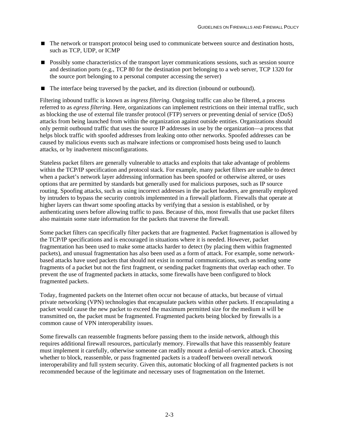- The network or transport protocol being used to communicate between source and destination hosts, such as TCP, UDP, or ICMP
- **Pessibly some characteristics of the transport layer communications sessions, such as session source** and destination ports (e.g., TCP 80 for the destination port belonging to a web server, TCP 1320 for the source port belonging to a personal computer accessing the server)
- The interface being traversed by the packet, and its direction (inbound or outbound).

Filtering inbound traffic is known as *ingress filtering*. Outgoing traffic can also be filtered, a process referred to as *egress filtering*. Here, organizations can implement restrictions on their internal traffic, such as blocking the use of external file transfer protocol (FTP) servers or preventing denial of service (DoS) attacks from being launched from within the organization against outside entities. Organizations should only permit outbound traffic that uses the source IP addresses in use by the organization—a process that helps block traffic with spoofed addresses from leaking onto other networks. Spoofed addresses can be caused by malicious events such as malware infections or compromised hosts being used to launch attacks, or by inadvertent misconfigurations.

Stateless packet filters are generally vulnerable to attacks and exploits that take advantage of problems within the TCP/IP specification and protocol stack. For example, many packet filters are unable to detect when a packet's network layer addressing information has been spoofed or otherwise altered, or uses options that are permitted by standards but generally used for malicious purposes, such as IP source routing. Spoofing attacks, such as using incorrect addresses in the packet headers, are generally employed by intruders to bypass the security controls implemented in a firewall platform. Firewalls that operate at higher layers can thwart some spoofing attacks by verifying that a session is established, or by authenticating users before allowing traffic to pass. Because of this, most firewalls that use packet filters also maintain some state information for the packets that traverse the firewall.

Some packet filters can specifically filter packets that are fragmented. Packet fragmentation is allowed by the TCP/IP specifications and is encouraged in situations where it is needed. However, packet fragmentation has been used to make some attacks harder to detect (by placing them within fragmented packets), and unusual fragmentation has also been used as a form of attack. For example, some networkbased attacks have used packets that should not exist in normal communications, such as sending some fragments of a packet but not the first fragment, or sending packet fragments that overlap each other. To prevent the use of fragmented packets in attacks, some firewalls have been configured to block fragmented packets.

Today, fragmented packets on the Internet often occur not because of attacks, but because of virtual private networking (VPN) technologies that encapsulate packets within other packets. If encapsulating a packet would cause the new packet to exceed the maximum permitted size for the medium it will be transmitted on, the packet must be fragmented. Fragmented packets being blocked by firewalls is a common cause of VPN interoperability issues.

Some firewalls can reassemble fragments before passing them to the inside network, although this requires additional firewall resources, particularly memory. Firewalls that have this reassembly feature must implement it carefully, otherwise someone can readily mount a denial-of-service attack. Choosing whether to block, reassemble, or pass fragmented packets is a tradeoff between overall network interoperability and full system security. Given this, automatic blocking of all fragmented packets is not recommended because of the legitimate and necessary uses of fragmentation on the Internet.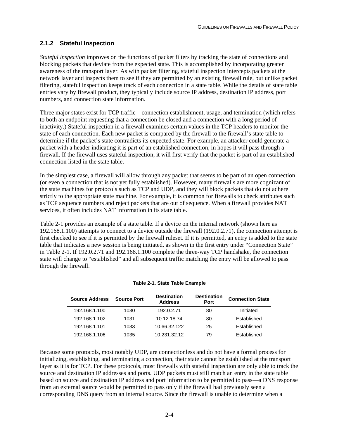#### <span id="page-13-0"></span>**2.1.2 Stateful Inspection**

*Stateful inspection* improves on the functions of packet filters by tracking the state of connections and blocking packets that deviate from the expected state. This is accomplished by incorporating greater awareness of the transport layer. As with packet filtering, stateful inspection intercepts packets at the network layer and inspects them to see if they are permitted by an existing firewall rule, but unlike packet filtering, stateful inspection keeps track of each connection in a state table. While the details of state table entries vary by firewall product, they typically include source IP address, destination IP address, port numbers, and connection state information.

Three major states exist for TCP traffic—connection establishment, usage, and termination (which refers to both an endpoint requesting that a connection be closed and a connection with a long period of inactivity.) Stateful inspection in a firewall examines certain values in the TCP headers to monitor the state of each connection. Each new packet is compared by the firewall to the firewall's state table to determine if the packet's state contradicts its expected state. For example, an attacker could generate a packet with a header indicating it is part of an established connection, in hopes it will pass through a firewall. If the firewall uses stateful inspection, it will first verify that the packet is part of an established connection listed in the state table.

In the simplest case, a firewall will allow through any packet that seems to be part of an open connection (or even a connection that is not yet fully established). However, many firewalls are more cognizant of the state machines for protocols such as TCP and UDP, and they will block packets that do not adhere strictly to the appropriate state machine. For example, it is common for firewalls to check attributes such as TCP sequence numbers and reject packets that are out of sequence. When a firewall provides NAT services, it often includes NAT information in its state table.

Table 2-1 provides an example of a state table. If a device on the internal network (shown here as 192.168.1.100) attempts to connect to a device outside the firewall (192.0.2.71), the connection attempt is first checked to see if it is permitted by the firewall ruleset. If it is permitted, an entry is added to the state table that indicates a new session is being initiated, as shown in the first entry under "Connection State" in Table 2-1. If 192.0.2.71 and 192.168.1.100 complete the three-way TCP handshake, the connection state will change to "established" and all subsequent traffic matching the entry will be allowed to pass through the firewall.

| <b>Source Address</b> | <b>Source Port</b> | <b>Destination</b><br><b>Address</b> | <b>Destination</b><br>Port | <b>Connection State</b> |
|-----------------------|--------------------|--------------------------------------|----------------------------|-------------------------|
| 192.168.1.100         | 1030               | 192.0.2.71                           | 80                         | Initiated               |
| 192.168.1.102         | 1031               | 10.12.18.74                          | 80                         | Established             |
| 192.168.1.101         | 1033               | 10.66.32.122                         | 25                         | Established             |
| 192.168.1.106         | 1035               | 10.231.32.12                         | 79                         | Established             |

#### **Table 2-1. State Table Example**

Because some protocols, most notably UDP, are connectionless and do not have a formal process for initializing, establishing, and terminating a connection, their state cannot be established at the transport layer as it is for TCP. For these protocols, most firewalls with stateful inspection are only able to track the source and destination IP addresses and ports. UDP packets must still match an entry in the state table based on source and destination IP address and port information to be permitted to pass—a DNS response from an external source would be permitted to pass only if the firewall had previously seen a corresponding DNS query from an internal source. Since the firewall is unable to determine when a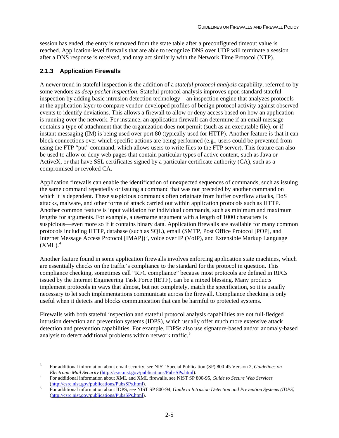<span id="page-14-0"></span>session has ended, the entry is removed from the state table after a preconfigured timeout value is reached. Application-level firewalls that are able to recognize DNS over UDP will terminate a session after a DNS response is received, and may act similarly with the Network Time Protocol (NTP).

#### **2.1.3 Application Firewalls**

A newer trend in stateful inspection is the addition of a *stateful protocol analysis* capability, referred to by some vendors as *deep packet inspection*. Stateful protocol analysis improves upon standard stateful inspection by adding basic intrusion detection technology—an inspection engine that analyzes protocols at the application layer to compare vendor-developed profiles of benign protocol activity against observed events to identify deviations. This allows a firewall to allow or deny access based on how an application is running over the network. For instance, an application firewall can determine if an email message contains a type of attachment that the organization does not permit (such as an executable file), or if instant messaging (IM) is being used over port 80 (typically used for HTTP). Another feature is that it can block connections over which specific actions are being performed (e.g., users could be prevented from using the FTP "put" command, which allows users to write files to the FTP server). This feature can also be used to allow or deny web pages that contain particular types of active content, such as Java or ActiveX, or that have SSL certificates signed by a particular certificate authority (CA), such as a compromised or revoked CA.

Application firewalls can enable the identification of unexpected sequences of commands, such as issuing the same command repeatedly or issuing a command that was not preceded by another command on which it is dependent. These suspicious commands often originate from buffer overflow attacks, DoS attacks, malware, and other forms of attack carried out within application protocols such as HTTP. Another common feature is input validation for individual commands, such as minimum and maximum lengths for arguments. For example, a username argument with a length of 1000 characters is suspicious—even more so if it contains binary data. Application firewalls are available for many common protocols including HTTP, database (such as SQL), email (SMTP, Post Office Protocol [POP], and Internet Message Access Protocol  $[IMAP]$ <sup>[3](#page-14-1)</sup>, voice over IP (VoIP), and Extensible Markup Language  $(XML).<sup>4</sup>$  $(XML).<sup>4</sup>$  $(XML).<sup>4</sup>$ 

Another feature found in some application firewalls involves enforcing application state machines, which are essentially checks on the traffic's compliance to the standard for the protocol in question. This compliance checking, sometimes call "RFC compliance" because most protocols are defined in RFCs issued by the Internet Engineering Task Force (IETF), can be a mixed blessing. Many products implement protocols in ways that almost, but not completely, match the specification, so it is usually necessary to let such implementations communicate across the firewall. Compliance checking is only useful when it detects and blocks communication that can be harmful to protected systems.

Firewalls with both stateful inspection and stateful protocol analysis capabilities are not full-fledged intrusion detection and prevention systems (IDPS), which usually offer much more extensive attack detection and prevention capabilities. For example, IDPSs also use signature-based and/or anomaly-based analysis to detect additional problems within network traffic.<sup>[5](#page-14-3)</sup>

<span id="page-14-1"></span><sup>1</sup> 3 For additional information about email security, see NIST Special Publication (SP) 800-45 Version 2, *Guidelines on Electronic Mail Security* (<http://csrc.nist.gov/publications/PubsSPs.html>)*.* <sup>4</sup>

<span id="page-14-2"></span>For additional information about XML and XML firewalls, see NIST SP 800-95, *Guide to Secure Web Services* ([http://csrc.nist.gov/publications/PubsSPs.html\)](http://csrc.nist.gov/publications/PubsSPs.html)*.* <sup>5</sup>

<span id="page-14-3"></span>For additional information about IDPS, see NIST SP 800-94, *Guide to Intrusion Detection and Prevention Systems (IDPS)* ([http://csrc.nist.gov/publications/PubsSPs.html\)](http://csrc.nist.gov/publications/PubsSPs.html).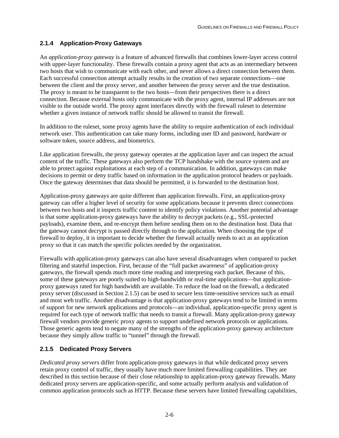#### <span id="page-15-0"></span>**2.1.4 Application-Proxy Gateways**

An *application-proxy gateway* is a feature of advanced firewalls that combines lower-layer access control with upper-layer functionality. These firewalls contain a proxy agent that acts as an intermediary between two hosts that wish to communicate with each other, and never allows a direct connection between them. Each successful connection attempt actually results in the creation of two separate connections—one between the client and the proxy server, and another between the proxy server and the true destination. The proxy is meant to be transparent to the two hosts—from their perspectives there is a direct connection. Because external hosts only communicate with the proxy agent, internal IP addresses are not visible to the outside world. The proxy agent interfaces directly with the firewall ruleset to determine whether a given instance of network traffic should be allowed to transit the firewall.

In addition to the ruleset, some proxy agents have the ability to require authentication of each individual network user. This authentication can take many forms, including user ID and password, hardware or software token, source address, and biometrics.

Like application firewalls, the proxy gateway operates at the application layer and can inspect the actual content of the traffic. These gateways also perform the TCP handshake with the source system and are able to protect against exploitations at each step of a communication. In addition, gateways can make decisions to permit or deny traffic based on information in the application protocol headers or payloads. Once the gateway determines that data should be permitted, it is forwarded to the destination host.

Application-proxy gateways are quite different than application firewalls. First, an application-proxy gateway can offer a higher level of security for some applications because it prevents direct connections between two hosts and it inspects traffic content to identify policy violations. Another potential advantage is that some application-proxy gateways have the ability to decrypt packets (e.g., SSL-protected payloads), examine them, and re-encrypt them before sending them on to the destination host. Data that the gateway cannot decrypt is passed directly through to the application. When choosing the type of firewall to deploy, it is important to decide whether the firewall actually needs to act as an application proxy so that it can match the specific policies needed by the organization.

Firewalls with application-proxy gateways can also have several disadvantages when compared to packet filtering and stateful inspection. First, because of the "full packet awareness" of application-proxy gateways, the firewall spends much more time reading and interpreting each packet. Because of this, some of these gateways are poorly suited to high-bandwidth or real-time applications—but applicationproxy gateways rated for high bandwidth are available. To reduce the load on the firewall, a dedicated proxy server (discussed in Section 2.1.5) can be used to secure less time-sensitive services such as email and most web traffic. Another disadvantage is that application-proxy gateways tend to be limited in terms of support for new network applications and protocols—an individual, application-specific proxy agent is required for each type of network traffic that needs to transit a firewall. Many application-proxy gateway firewall vendors provide generic proxy agents to support undefined network protocols or applications. Those generic agents tend to negate many of the strengths of the application-proxy gateway architecture because they simply allow traffic to "tunnel" through the firewall.

#### **2.1.5 Dedicated Proxy Servers**

*Dedicated proxy servers* differ from application-proxy gateways in that while dedicated proxy servers retain proxy control of traffic, they usually have much more limited firewalling capabilities. They are described in this section because of their close relationship to application-proxy gateway firewalls. Many dedicated proxy servers are application-specific, and some actually perform analysis and validation of common application protocols such as HTTP. Because these servers have limited firewalling capabilities,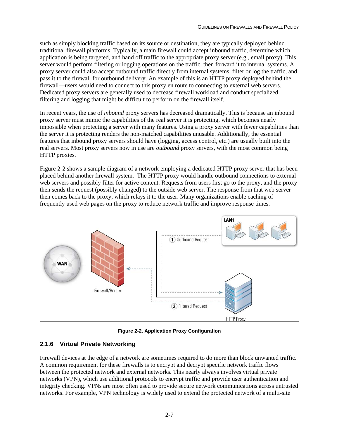<span id="page-16-0"></span>such as simply blocking traffic based on its source or destination, they are typically deployed behind traditional firewall platforms. Typically, a main firewall could accept inbound traffic, determine which application is being targeted, and hand off traffic to the appropriate proxy server (e.g., email proxy). This server would perform filtering or logging operations on the traffic, then forward it to internal systems. A proxy server could also accept outbound traffic directly from internal systems, filter or log the traffic, and pass it to the firewall for outbound delivery. An example of this is an HTTP proxy deployed behind the firewall—users would need to connect to this proxy en route to connecting to external web servers. Dedicated proxy servers are generally used to decrease firewall workload and conduct specialized filtering and logging that might be difficult to perform on the firewall itself.

In recent years, the use of *inbound* proxy servers has decreased dramatically. This is because an inbound proxy server must mimic the capabilities of the real server it is protecting, which becomes nearly impossible when protecting a server with many features. Using a proxy server with fewer capabilities than the server it is protecting renders the non-matched capabilities unusable. Additionally, the essential features that inbound proxy servers should have (logging, access control, etc.) are usually built into the real servers. Most proxy servers now in use are *outbound* proxy servers, with the most common being HTTP proxies.

Figure 2-2 shows a sample diagram of a network employing a dedicated HTTP proxy server that has been placed behind another firewall system. The HTTP proxy would handle outbound connections to external web servers and possibly filter for active content. Requests from users first go to the proxy, and the proxy then sends the request (possibly changed) to the outside web server. The response from that web server then comes back to the proxy, which relays it to the user. Many organizations enable caching of frequently used web pages on the proxy to reduce network traffic and improve response times.



**Figure 2-2. Application Proxy Configuration** 

#### **2.1.6 Virtual Private Networking**

Firewall devices at the edge of a network are sometimes required to do more than block unwanted traffic. A common requirement for these firewalls is to encrypt and decrypt specific network traffic flows between the protected network and external networks. This nearly always involves virtual private networks (VPN), which use additional protocols to encrypt traffic and provide user authentication and integrity checking. VPNs are most often used to provide secure network communications across untrusted networks. For example, VPN technology is widely used to extend the protected network of a multi-site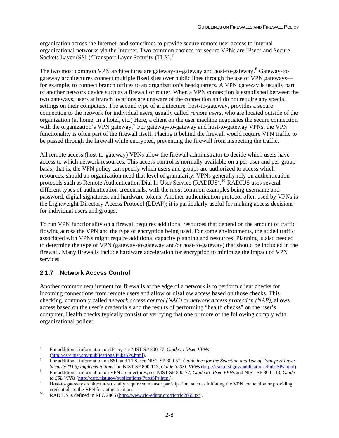<span id="page-17-0"></span>organization across the Internet, and sometimes to provide secure remote user access to internal organizational networks via the Internet. Two common choices for secure VPNs are IPsec<sup>[6](#page-17-1)</sup> and Secure Sockets Layer (SSL)/Transport Layer Security (TLS). $^7$  $^7$ 

The two most common VPN architectures are gateway-to-gateway and host-to-gateway.<sup>[8](#page-17-3)</sup> Gateway-togateway architectures connect multiple fixed sites over public lines through the use of VPN gateways for example, to connect branch offices to an organization's headquarters. A VPN gateway is usually part of another network device such as a firewall or router. When a VPN connection is established between the two gateways, users at branch locations are unaware of the connection and do not require any special settings on their computers. The second type of architecture, host-to-gateway, provides a secure connection to the network for individual users, usually called *remote users*, who are located outside of the organization (at home, in a hotel, etc.) Here, a client on the user machine negotiates the secure connection with the organization's VPN gateway.<sup>[9](#page-17-4)</sup> For gateway-to-gateway and host-to-gateway VPNs, the VPN functionality is often part of the firewall itself. Placing it behind the firewall would require VPN traffic to be passed through the firewall while encrypted, preventing the firewall from inspecting the traffic.

All remote access (host-to-gateway) VPNs allow the firewall administrator to decide which users have access to which network resources. This access control is normally available on a per-user and per-group basis; that is, the VPN policy can specify which users and groups are authorized to access which resources, should an organization need that level of granularity. VPNs generally rely on authentication protocols such as Remote Authentication Dial In User Service (RADIUS).<sup>[10](#page-17-5)</sup> RADIUS uses several different types of authentication credentials, with the most common examples being username and password, digital signatures, and hardware tokens. Another authentication protocol often used by VPNs is the Lightweight Directory Access Protocol (LDAP); it is particularly useful for making access decisions for individual users and groups.

To run VPN functionality on a firewall requires additional resources that depend on the amount of traffic flowing across the VPN and the type of encryption being used. For some environments, the added traffic associated with VPNs might require additional capacity planning and resources. Planning is also needed to determine the type of VPN (gateway-to-gateway and/or host-to-gateway) that should be included in the firewall. Many firewalls include hardware acceleration for encryption to minimize the impact of VPN services.

#### **2.1.7 Network Access Control**

l

Another common requirement for firewalls at the edge of a network is to perform client checks for incoming connections from remote users and allow or disallow access based on those checks. This checking, commonly called *network access control (NAC)* or *network access protection (NAP)*, allows access based on the user's credentials and the results of performing "health checks" on the user's computer. Health checks typically consist of verifying that one or more of the following comply with organizational policy:

<span id="page-17-1"></span><sup>6</sup> For additional information on IPsec, see NIST SP 800-77, *Guide to IPsec VPNs* ([http://csrc.nist.gov/publications/PubsSPs.html\)](http://csrc.nist.gov/publications/PubsSPs.html). 7

<span id="page-17-2"></span>For additional information on SSL and TLS, see NIST SP 800-52, *Guidelines for the Selection and Use of Transport Layer Security (TLS) Implementations* and NIST SP 800-113, *Guide to SSL VPNs* [\(http://csrc.nist.gov/publications/PubsSPs.html](http://csrc.nist.gov/publications/PubsSPs.html)). 8

<span id="page-17-3"></span>For additional information on VPN architectures, see NIST SP 800-77, *Guide to IPsec VPNs* and NIST SP 800-113, *Guide*  to SSL VPNs [\(http://csrc.nist.gov/publications/PubsSPs.html](http://csrc.nist.gov/publications/PubsSPs.html)).

<span id="page-17-4"></span>Host-to-gateway architectures usually require some user participation, such as initiating the VPN connection or providing credentials to the VPN for authent[ication.](http://www.ietf.org/rfc/rfc2865.txt) 10 RADIUS is defined in RFC 2865 [\(http://www.rfc-editor.org/rfc/rfc2865.txt](http://www.ietf.org/rfc/rfc2865.txt)).

<span id="page-17-5"></span>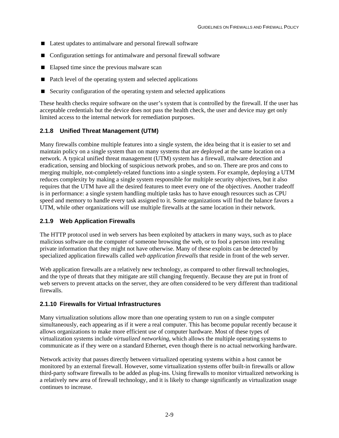- <span id="page-18-0"></span>■ Latest updates to antimalware and personal firewall software
- Configuration settings for antimalware and personal firewall software
- Elapsed time since the previous malware scan
- Patch level of the operating system and selected applications
- Security configuration of the operating system and selected applications

These health checks require software on the user's system that is controlled by the firewall. If the user has acceptable credentials but the device does not pass the health check, the user and device may get only limited access to the internal network for remediation purposes.

#### **2.1.8 Unified Threat Management (UTM)**

Many firewalls combine multiple features into a single system, the idea being that it is easier to set and maintain policy on a single system than on many systems that are deployed at the same location on a network. A typical unified threat management (UTM) system has a firewall, malware detection and eradication, sensing and blocking of suspicious network probes, and so on. There are pros and cons to merging multiple, not-completely-related functions into a single system. For example, deploying a UTM reduces complexity by making a single system responsible for multiple security objectives, but it also requires that the UTM have all the desired features to meet every one of the objectives. Another tradeoff is in performance: a single system handling multiple tasks has to have enough resources such as CPU speed and memory to handle every task assigned to it. Some organizations will find the balance favors a UTM, while other organizations will use multiple firewalls at the same location in their network.

#### **2.1.9 Web Application Firewalls**

The HTTP protocol used in web servers has been exploited by attackers in many ways, such as to place malicious software on the computer of someone browsing the web, or to fool a person into revealing private information that they might not have otherwise. Many of these exploits can be detected by specialized application firewalls called *web application firewalls* that reside in front of the web server.

Web application firewalls are a relatively new technology, as compared to other firewall technologies, and the type of threats that they mitigate are still changing frequently. Because they are put in front of web servers to prevent attacks on the server, they are often considered to be very different than traditional firewalls.

#### **2.1.10 Firewalls for Virtual Infrastructures**

Many virtualization solutions allow more than one operating system to run on a single computer simultaneously, each appearing as if it were a real computer. This has become popular recently because it allows organizations to make more efficient use of computer hardware. Most of these types of virtualization systems include *virtualized networking*, which allows the multiple operating systems to communicate as if they were on a standard Ethernet, even though there is no actual networking hardware.

Network activity that passes directly between virtualized operating systems within a host cannot be monitored by an external firewall. However, some virtualization systems offer built-in firewalls or allow third-party software firewalls to be added as plug-ins. Using firewalls to monitor virtualized networking is a relatively new area of firewall technology, and it is likely to change significantly as virtualization usage continues to increase.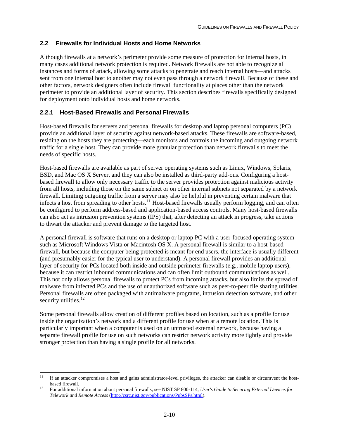#### <span id="page-19-0"></span>**2.2 Firewalls for Individual Hosts and Home Networks**

Although firewalls at a network's perimeter provide some measure of protection for internal hosts, in many cases additional network protection is required. Network firewalls are not able to recognize all instances and forms of attack, allowing some attacks to penetrate and reach internal hosts—and attacks sent from one internal host to another may not even pass through a network firewall. Because of these and other factors, network designers often include firewall functionality at places other than the network perimeter to provide an additional layer of security. This section describes firewalls specifically designed for deployment onto individual hosts and home networks.

#### <span id="page-19-3"></span>**2.2.1 Host-Based Firewalls and Personal Firewalls**

Host-based firewalls for servers and personal firewalls for desktop and laptop personal computers (PC) provide an additional layer of security against network-based attacks. These firewalls are software-based, residing on the hosts they are protecting—each monitors and controls the incoming and outgoing network traffic for a single host. They can provide more granular protection than network firewalls to meet the needs of specific hosts.

Host-based firewalls are available as part of server operating systems such as Linux, Windows, Solaris, BSD, and Mac OS X Server, and they can also be installed as third-party add-ons. Configuring a hostbased firewall to allow only necessary traffic to the server provides protection against malicious activity from all hosts, including those on the same subnet or on other internal subnets not separated by a network firewall. Limiting outgoing traffic from a server may also be helpful in preventing certain malware that infects a host from spreading to other hosts.<sup>[11](#page-19-1)</sup> Host-based firewalls usually perform logging, and can often be configured to perform address-based and application-based access controls. Many host-based firewalls can also act as intrusion prevention systems (IPS) that, after detecting an attack in progress, take actions to thwart the attacker and prevent damage to the targeted host.

A personal firewall is software that runs on a desktop or laptop PC with a user-focused operating system such as Microsoft Windows Vista or Macintosh OS X. A personal firewall is similar to a host-based firewall, but because the computer being protected is meant for end users, the interface is usually different (and presumably easier for the typical user to understand). A personal firewall provides an additional layer of security for PCs located both inside and outside perimeter firewalls (e.g., mobile laptop users), because it can restrict inbound communications and can often limit outbound communications as well. This not only allows personal firewalls to protect PCs from incoming attacks, but also limits the spread of malware from infected PCs and the use of unauthorized software such as peer-to-peer file sharing utilities. Personal firewalls are often packaged with antimalware programs, intrusion detection software, and other security utilities.<sup>[12](#page-19-2)</sup>

Some personal firewalls allow creation of different profiles based on location, such as a profile for use inside the organization's network and a different profile for use when at a remote location. This is particularly important when a computer is used on an untrusted external network, because having a separate firewall profile for use on such networks can restrict network activity more tightly and provide stronger protection than having a single profile for all networks.

<span id="page-19-1"></span> $11$ 11 If an attacker compromises a host and gains administrator-level privileges, the attacker can disable or circumvent the host-

<span id="page-19-2"></span>based firewall. 12 For additional information about personal firewalls, see NIST SP 800-114, *User's Guide to Securing External Devices for Telework and Remote Access* [\(http://csrc.nist.gov/publications/PubsSPs.html](http://csrc.nist.gov/publications/PubsSPs.html)).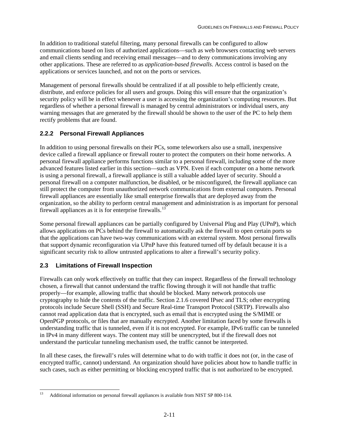<span id="page-20-0"></span>In addition to traditional stateful filtering, many personal firewalls can be configured to allow communications based on lists of authorized applications—such as web browsers contacting web servers and email clients sending and receiving email messages—and to deny communications involving any other applications. These are referred to as *application-based firewalls*. Access control is based on the applications or services launched, and not on the ports or services.

Management of personal firewalls should be centralized if at all possible to help efficiently create, distribute, and enforce policies for all users and groups. Doing this will ensure that the organization's security policy will be in effect whenever a user is accessing the organization's computing resources. But regardless of whether a personal firewall is managed by central administrators or individual users, any warning messages that are generated by the firewall should be shown to the user of the PC to help them rectify problems that are found.

#### **2.2.2 Personal Firewall Appliances**

In addition to using personal firewalls on their PCs, some teleworkers also use a small, inexpensive device called a firewall appliance or firewall router to protect the computers on their home networks. A personal firewall appliance performs functions similar to a personal firewall, including some of the more advanced features listed earlier in this section—such as VPN. Even if each computer on a home network is using a personal firewall, a firewall appliance is still a valuable added layer of security. Should a personal firewall on a computer malfunction, be disabled, or be misconfigured, the firewall appliance can still protect the computer from unauthorized network communications from external computers. Personal firewall appliances are essentially like small enterprise firewalls that are deployed away from the organization, so the ability to perform central management and administration is as important for personal firewall appliances as it is for enterprise firewalls.<sup>[13](#page-20-1)</sup>

Some personal firewall appliances can be partially configured by Universal Plug and Play (UPnP), which allows applications on PCs behind the firewall to automatically ask the firewall to open certain ports so that the applications can have two-way communications with an external system. Most personal firewalls that support dynamic reconfiguration via UPnP have this featured turned off by default because it is a significant security risk to allow untrusted applications to alter a firewall's security policy.

#### **2.3 Limitations of Firewall Inspection**

Firewalls can only work effectively on traffic that they can inspect. Regardless of the firewall technology chosen, a firewall that cannot understand the traffic flowing through it will not handle that traffic properly—for example, allowing traffic that should be blocked. Many network protocols use cryptography to hide the contents of the traffic. Section 2.1.6 covered IPsec and TLS; other encrypting protocols include Secure Shell (SSH) and Secure Real-time Transport Protocol (SRTP). Firewalls also cannot read application data that is encrypted, such as email that is encrypted using the S/MIME or OpenPGP protocols, or files that are manually encrypted. Another limitation faced by some firewalls is understanding traffic that is tunneled, even if it is not encrypted. For example, IPv6 traffic can be tunneled in IPv4 in many different ways. The content may still be unencrypted, but if the firewall does not understand the particular tunneling mechanism used, the traffic cannot be interpreted.

In all these cases, the firewall's rules will determine what to do with traffic it does not (or, in the case of encrypted traffic, cannot) understand. An organization should have policies about how to handle traffic in such cases, such as either permitting or blocking encrypted traffic that is not authorized to be encrypted.

<span id="page-20-1"></span><sup>13</sup> Additional information on personal firewall appliances is available from NIST SP 800-114.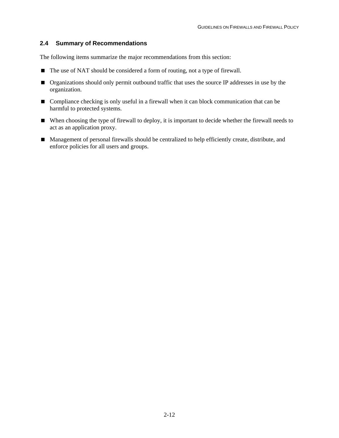#### <span id="page-21-0"></span>**2.4 Summary of Recommendations**

The following items summarize the major recommendations from this section:

- The use of NAT should be considered a form of routing, not a type of firewall.
- **Organizations should only permit outbound traffic that uses the source IP addresses in use by the** organization.
- Compliance checking is only useful in a firewall when it can block communication that can be harmful to protected systems.
- When choosing the type of firewall to deploy, it is important to decide whether the firewall needs to act as an application proxy.
- Management of personal firewalls should be centralized to help efficiently create, distribute, and enforce policies for all users and groups.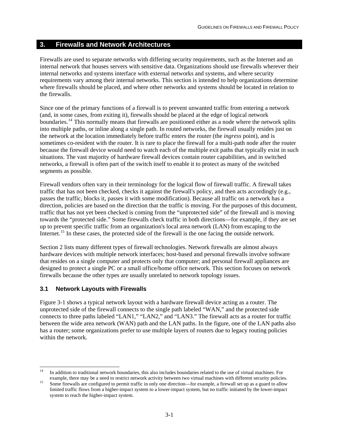#### <span id="page-22-0"></span>**3. Firewalls and Network Architectures**

Firewalls are used to separate networks with differing security requirements, such as the Internet and an internal network that houses servers with sensitive data. Organizations should use firewalls wherever their internal networks and systems interface with external networks and systems, and where security requirements vary among their internal networks. This section is intended to help organizations determine where firewalls should be placed, and where other networks and systems should be located in relation to the firewalls.

Since one of the primary functions of a firewall is to prevent unwanted traffic from entering a network (and, in some cases, from exiting it), firewalls should be placed at the edge of logical network boundaries.<sup>[14](#page-22-1)</sup> This normally means that firewalls are positioned either as a node where the network splits into multiple paths, or inline along a single path. In routed networks, the firewall usually resides just on the network at the location immediately before traffic enters the router (the *ingress* point), and is sometimes co-resident with the router. It is rare to place the firewall for a multi-path node after the router because the firewall device would need to watch each of the multiple exit paths that typically exist in such situations. The vast majority of hardware firewall devices contain router capabilities, and in switched networks, a firewall is often part of the switch itself to enable it to protect as many of the switched segments as possible.

Firewall vendors often vary in their terminology for the logical flow of firewall traffic. A firewall takes traffic that has not been checked, checks it against the firewall's policy, and then acts accordingly (e.g., passes the traffic, blocks it, passes it with some modification). Because all traffic on a network has a direction, policies are based on the direction that the traffic is moving. For the purposes of this document, traffic that has not yet been checked is coming from the "unprotected side" of the firewall and is moving towards the "protected side." Some firewalls check traffic in both directions—for example, if they are set up to prevent specific traffic from an organization's local area network (LAN) from escaping to the Internet.<sup>[15](#page-22-2)</sup> In these cases, the protected side of the firewall is the one facing the outside network.

Section 2 lists many different types of firewall technologies. Network firewalls are almost always hardware devices with multiple network interfaces; host-based and personal firewalls involve software that resides on a single computer and protects only that computer; and personal firewall appliances are designed to protect a single PC or a small office/home office network. This section focuses on network firewalls because the other types are usually unrelated to network topology issues.

#### **3.1 Network Layouts with Firewalls**

-

Figure 3-1 shows a typical network layout with a hardware firewall device acting as a router. The unprotected side of the firewall connects to the single path labeled "WAN," and the protected side connects to three paths labeled "LAN1," "LAN2," and "LAN3." The firewall acts as a router for traffic between the wide area network (WAN) path and the LAN paths. In the figure, one of the LAN paths also has a router; some organizations prefer to use multiple layers of routers due to legacy routing policies within the network.

<sup>14</sup> In addition to traditional network boundaries, this also includes boundaries related to the use of virtual machines. For

<span id="page-22-2"></span><span id="page-22-1"></span>example, there may be a need to restrict network activity between two virtual machines with different security policies.<br>Some firewalls are configured to permit traffic in only one direction—for example, a firewall set up limited traffic flows from a higher-impact system to a lower-impact system, but no traffic initiated by the lower-impact system to reach the higher-impact system.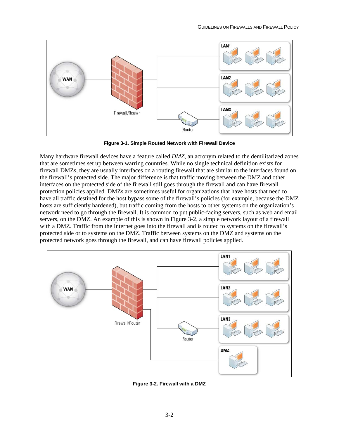<span id="page-23-0"></span>

**Figure 3-1. Simple Routed Network with Firewall Device** 

Many hardware firewall devices have a feature called *DMZ*, an acronym related to the demilitarized zones that are sometimes set up between warring countries. While no single technical definition exists for firewall DMZs, they are usually interfaces on a routing firewall that are similar to the interfaces found on the firewall's protected side. The major difference is that traffic moving between the DMZ and other interfaces on the protected side of the firewall still goes through the firewall and can have firewall protection policies applied. DMZs are sometimes useful for organizations that have hosts that need to have all traffic destined for the host bypass some of the firewall's policies (for example, because the DMZ hosts are sufficiently hardened), but traffic coming from the hosts to other systems on the organization's network need to go through the firewall. It is common to put public-facing servers, such as web and email servers, on the DMZ. An example of this is shown in Figure 3-2, a simple network layout of a firewall with a DMZ. Traffic from the Internet goes into the firewall and is routed to systems on the firewall's protected side or to systems on the DMZ. Traffic between systems on the DMZ and systems on the protected network goes through the firewall, and can have firewall policies applied.



**Figure 3-2. Firewall with a DMZ**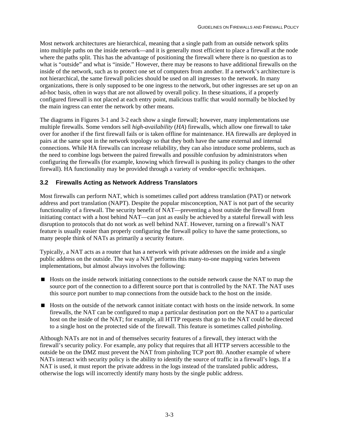<span id="page-24-0"></span>Most network architectures are hierarchical, meaning that a single path from an outside network splits into multiple paths on the inside network—and it is generally most efficient to place a firewall at the node where the paths split. This has the advantage of positioning the firewall where there is no question as to what is "outside" and what is "inside." However, there may be reasons to have additional firewalls on the inside of the network, such as to protect one set of computers from another. If a network's architecture is not hierarchical, the same firewall policies should be used on all ingresses to the network. In many organizations, there is only supposed to be one ingress to the network, but other ingresses are set up on an ad-hoc basis, often in ways that are not allowed by overall policy. In these situations, if a properly configured firewall is not placed at each entry point, malicious traffic that would normally be blocked by the main ingress can enter the network by other means.

The diagrams in Figures 3-1 and 3-2 each show a single firewall; however, many implementations use multiple firewalls. Some vendors sell *high-availability* (*HA*) firewalls, which allow one firewall to take over for another if the first firewall fails or is taken offline for maintenance. HA firewalls are deployed in pairs at the same spot in the network topology so that they both have the same external and internal connections. While HA firewalls can increase reliability, they can also introduce some problems, such as the need to combine logs between the paired firewalls and possible confusion by administrators when configuring the firewalls (for example, knowing which firewall is pushing its policy changes to the other firewall). HA functionality may be provided through a variety of vendor-specific techniques.

#### **3.2 Firewalls Acting as Network Address Translators**

Most firewalls can perform NAT, which is sometimes called port address translation (PAT) or network address and port translation (NAPT). Despite the popular misconception, NAT is not part of the security functionality of a firewall. The security benefit of NAT—preventing a host outside the firewall from initiating contact with a host behind NAT—can just as easily be achieved by a stateful firewall with less disruption to protocols that do not work as well behind NAT. However, turning on a firewall's NAT feature is usually easier than properly configuring the firewall policy to have the same protections, so many people think of NATs as primarily a security feature.

Typically, a NAT acts as a router that has a network with private addresses on the inside and a single public address on the outside. The way a NAT performs this many-to-one mapping varies between implementations, but almost always involves the following:

- **H** Hosts on the inside network initiating connections to the outside network cause the NAT to map the source port of the connection to a different source port that is controlled by the NAT. The NAT uses this source port number to map connections from the outside back to the host on the inside.
- **H** Hosts on the outside of the network cannot initiate contact with hosts on the inside network. In some firewalls, the NAT can be configured to map a particular destination port on the NAT to a particular host on the inside of the NAT; for example, all HTTP requests that go to the NAT could be directed to a single host on the protected side of the firewall. This feature is sometimes called *pinholing*.

Although NATs are not in and of themselves security features of a firewall, they interact with the firewall's security policy. For example, any policy that requires that all HTTP servers accessible to the outside be on the DMZ must prevent the NAT from pinholing TCP port 80. Another example of where NATs interact with security policy is the ability to identify the source of traffic in a firewall's logs. If a NAT is used, it must report the private address in the logs instead of the translated public address, otherwise the logs will incorrectly identify many hosts by the single public address.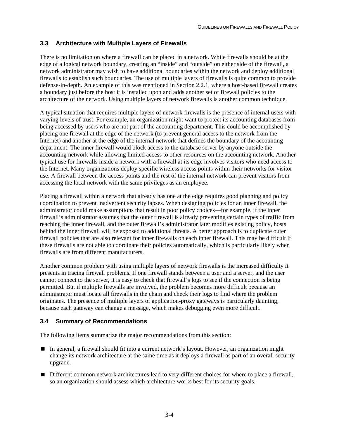#### <span id="page-25-0"></span>**3.3 Architecture with Multiple Layers of Firewalls**

There is no limitation on where a firewall can be placed in a network. While firewalls should be at the edge of a logical network boundary, creating an "inside" and "outside" on either side of the firewall, a network administrator may wish to have additional boundaries within the network and deploy additional firewalls to establish such boundaries. The use of multiple layers of firewalls is quite common to provide defense-in-depth. An example of this was mentioned in Section [2.2.1](#page-19-3), where a host-based firewall creates a boundary just before the host it is installed upon and adds another set of firewall policies to the architecture of the network. Using multiple layers of network firewalls is another common technique.

A typical situation that requires multiple layers of network firewalls is the presence of internal users with varying levels of trust. For example, an organization might want to protect its accounting databases from being accessed by users who are not part of the accounting department. This could be accomplished by placing one firewall at the edge of the network (to prevent general access to the network from the Internet) and another at the edge of the internal network that defines the boundary of the accounting department. The inner firewall would block access to the database server by anyone outside the accounting network while allowing limited access to other resources on the accounting network. Another typical use for firewalls inside a network with a firewall at its edge involves visitors who need access to the Internet. Many organizations deploy specific wireless access points within their networks for visitor use. A firewall between the access points and the rest of the internal network can prevent visitors from accessing the local network with the same privileges as an employee.

Placing a firewall within a network that already has one at the edge requires good planning and policy coordination to prevent inadvertent security lapses. When designing policies for an inner firewall, the administrator could make assumptions that result in poor policy choices—for example, if the inner firewall's administrator assumes that the outer firewall is already preventing certain types of traffic from reaching the inner firewall, and the outer firewall's administrator later modifies existing policy, hosts behind the inner firewall will be exposed to additional threats. A better approach is to duplicate outer firewall policies that are also relevant for inner firewalls on each inner firewall. This may be difficult if these firewalls are not able to coordinate their policies automatically, which is particularly likely when firewalls are from different manufacturers.

Another common problem with using multiple layers of network firewalls is the increased difficulty it presents in tracing firewall problems. If one firewall stands between a user and a server, and the user cannot connect to the server, it is easy to check that firewall's logs to see if the connection is being permitted. But if multiple firewalls are involved, the problem becomes more difficult because an administrator must locate all firewalls in the chain and check their logs to find where the problem originates. The presence of multiple layers of application-proxy gateways is particularly daunting, because each gateway can change a message, which makes debugging even more difficult.

#### **3.4 Summary of Recommendations**

The following items summarize the major recommendations from this section:

- In general, a firewall should fit into a current network's layout. However, an organization might change its network architecture at the same time as it deploys a firewall as part of an overall security upgrade.
- **Different common network architectures lead to very different choices for where to place a firewall,** so an organization should assess which architecture works best for its security goals.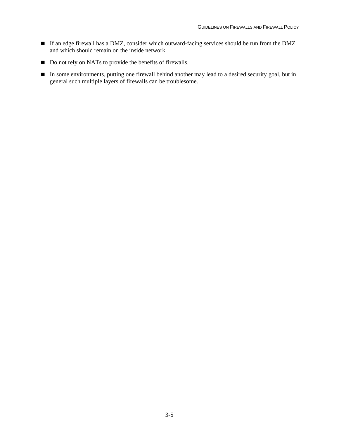- If an edge firewall has a DMZ, consider which outward-facing services should be run from the DMZ and which should remain on the inside network.
- Do not rely on NATs to provide the benefits of firewalls.
- In some environments, putting one firewall behind another may lead to a desired security goal, but in general such multiple layers of firewalls can be troublesome.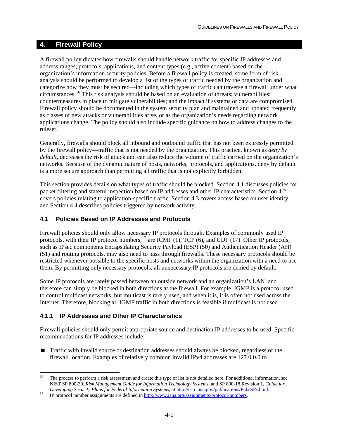#### <span id="page-27-0"></span>**4. Firewall Policy**

A firewall policy dictates how firewalls should handle network traffic for specific IP addresses and address ranges, protocols, applications, and content types (e.g., active content) based on the organization's information security policies. Before a firewall policy is created, some form of risk analysis should be performed to develop a list of the types of traffic needed by the organization and categorize how they must be secured—including which types of traffic can traverse a firewall under what circumstances.[16](#page-27-1) This risk analysis should be based on an evaluation of threats; vulnerabilities; countermeasures in place to mitigate vulnerabilities; and the impact if systems or data are compromised. Firewall policy should be documented in the system security plan and maintained and updated frequently as classes of new attacks or vulnerabilities arise, or as the organization's needs regarding network applications change. The policy should also include specific guidance on how to address changes to the ruleset.

Generally, firewalls should block all inbound and outbound traffic that has not been expressly permitted by the firewall policy—traffic that is not needed by the organization. This practice, known as *deny by default*, decreases the risk of attack and can also reduce the volume of traffic carried on the organization's networks. Because of the dynamic nature of hosts, networks, protocols, and applications, deny by default is a more secure approach than permitting all traffic that is not explicitly forbidden.

This section provides details on what types of traffic should be blocked. Section 4.1 discusses policies for packet filtering and stateful inspection based on IP addresses and other IP characteristics. Section 4.2 covers policies relating to application-specific traffic. Section 4.3 covers access based on user identity, and Section 4.4 describes policies triggered by network activity.

#### **4.1 Policies Based on IP Addresses and Protocols**

Firewall policies should only allow necessary IP protocols through. Examples of commonly used IP protocols, with their IP protocol numbers,<sup>[17](#page-27-2)</sup> are ICMP (1), TCP (6), and UDP (17). Other IP protocols, such as IPsec components Encapsulating Security Payload (ESP) (50) and Authentication Header (AH) (51) and routing protocols, may also need to pass through firewalls. These necessary protocols should be restricted whenever possible to the specific hosts and networks within the organization with a need to use them. By permitting only necessary protocols, all unnecessary IP protocols are denied by default.

Some IP protocols are rarely passed between an outside network and an organization's LAN, and therefore can simply be blocked in both directions at the firewall. For example, IGMP is a protocol used to control multicast networks, but multicast is rarely used, and when it is, it is often not used across the Internet. Therefore, blocking all IGMP traffic in both directions is feasible if multicast is not used.

#### **4.1.1 IP Addresses and Other IP Characteristics**

Firewall policies should only permit appropriate source and destination IP addresses to be used. Specific recommendations for IP addresses include:

**Traffic with invalid source or destination addresses should always be blocked, regardless of the** firewall location. Examples of relatively common invalid IPv4 addresses are 127.0.0.0 to

<span id="page-27-1"></span> $16$ 16 The process to perform a risk assessment and create this type of list is not detailed here. For additional information, see NIST SP 800-30, *Risk Management Guide for Information Technology Systems*, and SP 800-18 Revision 1, *Guide for* 

<span id="page-27-2"></span>*Developing Security Plans for Federal Information Systems*[, at](http://www.iana.org/assignments/protocol-numbers) <http://csrc.nist.gov/publications/PubsSPs.html>. IP protocol number assignments are defined in [http://www.iana.org/assignments/protocol-numbers.](http://www.iana.org/assignments/protocol-numbers)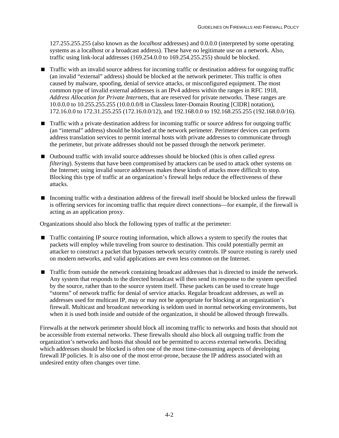127.255.255.255 (also known as the *localhost* addresses) and 0.0.0.0 (interpreted by some operating systems as a localhost or a broadcast address). These have no legitimate use on a network. Also, traffic using link-local addresses (169.254.0.0 to 169.254.255.255) should be blocked.

- **Traffic with an invalid source address for incoming traffic or destination address for outgoing traffic** (an invalid "external" address) should be blocked at the network perimeter. This traffic is often caused by malware, spoofing, denial of service attacks, or misconfigured equipment. The most common type of invalid external addresses is an IPv4 address within the ranges in RFC 1918, *Address Allocation for Private Internets*, that are reserved for private networks. These ranges are 10.0.0.0 to 10.255.255.255 (10.0.0.0/8 in Classless Inter-Domain Routing [CIDR] notation), 172.16.0.0 to 172.31.255.255 (172.16.0.0/12), and 192.168.0.0 to 192.168.255.255 (192.168.0.0/16).
- Traffic with a private destination address for incoming traffic or source address for outgoing traffic (an "internal" address) should be blocked at the network perimeter. Perimeter devices can perform address translation services to permit internal hosts with private addresses to communicate through the perimeter, but private addresses should not be passed through the network perimeter.
- Outbound traffic with invalid source addresses should be blocked (this is often called *egress filtering*). Systems that have been compromised by attackers can be used to attack other systems on the Internet; using invalid source addresses makes these kinds of attacks more difficult to stop. Blocking this type of traffic at an organization's firewall helps reduce the effectiveness of these attacks.
- Incoming traffic with a destination address of the firewall itself should be blocked unless the firewall is offering services for incoming traffic that require direct connections—for example, if the firewall is acting as an application proxy.

Organizations should also block the following types of traffic at the perimeter:

- Traffic containing IP source routing information, which allows a system to specify the routes that packets will employ while traveling from source to destination. This could potentially permit an attacker to construct a packet that bypasses network security controls. IP source routing is rarely used on modern networks, and valid applications are even less common on the Internet.
- Traffic from outside the network containing broadcast addresses that is directed to inside the network. Any system that responds to the directed broadcast will then send its response to the system specified by the source, rather than to the source system itself. These packets can be used to create huge "storms" of network traffic for denial of service attacks. Regular broadcast addresses, as well as addresses used for multicast IP, may or may not be appropriate for blocking at an organization's firewall. Multicast and broadcast networking is seldom used in normal networking environments, but when it is used both inside and outside of the organization, it should be allowed through firewalls.

Firewalls at the network perimeter should block all incoming traffic to networks and hosts that should not be accessible from external networks. These firewalls should also block all outgoing traffic from the organization's networks and hosts that should not be permitted to access external networks. Deciding which addresses should be blocked is often one of the most time-consuming aspects of developing firewall IP policies. It is also one of the most error-prone, because the IP address associated with an undesired entity often changes over time.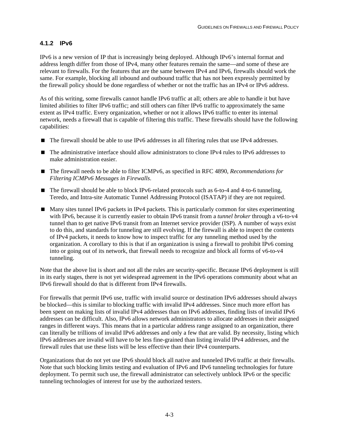#### <span id="page-29-0"></span>**4.1.2 IPv6**

IPv6 is a new version of IP that is increasingly being deployed. Although IPv6's internal format and address length differ from those of IPv4, many other features remain the same—and some of these are relevant to firewalls. For the features that are the same between IPv4 and IPv6, firewalls should work the same. For example, blocking all inbound and outbound traffic that has not been expressly permitted by the firewall policy should be done regardless of whether or not the traffic has an IPv4 or IPv6 address.

As of this writing, some firewalls cannot handle IPv6 traffic at all; others are able to handle it but have limited abilities to filter IPv6 traffic; and still others can filter IPv6 traffic to approximately the same extent as IPv4 traffic. Every organization, whether or not it allows IPv6 traffic to enter its internal network, needs a firewall that is capable of filtering this traffic. These firewalls should have the following capabilities:

- The firewall should be able to use IPv6 addresses in all filtering rules that use IPv4 addresses.
- The administrative interface should allow administrators to clone IPv4 rules to IPv6 addresses to make administration easier.
- The firewall needs to be able to filter ICMPv6, as specified in RFC 4890, *Recommendations for Filtering ICMPv6 Messages in Firewalls*.
- The firewall should be able to block IPv6-related protocols such as  $6$ -to-4 and  $4$ -to-6 tunneling, Teredo, and Intra-site Automatic Tunnel Addressing Protocol (ISATAP) if they are not required.
- Many sites tunnel IPv6 packets in IPv4 packets. This is particularly common for sites experimenting with IPv6, because it is currently easier to obtain IPv6 transit from a *tunnel broker* through a v6-to-v4 tunnel than to get native IPv6 transit from an Internet service provider (ISP). A number of ways exist to do this, and standards for tunneling are still evolving. If the firewall is able to inspect the contents of IPv4 packets, it needs to know how to inspect traffic for any tunneling method used by the organization. A corollary to this is that if an organization is using a firewall to prohibit IPv6 coming into or going out of its network, that firewall needs to recognize and block all forms of v6-to-v4 tunneling.

Note that the above list is short and not all the rules are security-specific. Because IPv6 deployment is still in its early stages, there is not yet widespread agreement in the IPv6 operations community about what an IPv6 firewall should do that is different from IPv4 firewalls.

For firewalls that permit IPv6 use, traffic with invalid source or destination IPv6 addresses should always be blocked—this is similar to blocking traffic with invalid IPv4 addresses. Since much more effort has been spent on making lists of invalid IPv4 addresses than on IPv6 addresses, finding lists of invalid IPv6 addresses can be difficult. Also, IPv6 allows network administrators to allocate addresses in their assigned ranges in different ways. This means that in a particular address range assigned to an organization, there can literally be trillions of invalid IPv6 addresses and only a few that are valid. By necessity, listing which IPv6 addresses are invalid will have to be less fine-grained than listing invalid IPv4 addresses, and the firewall rules that use these lists will be less effective than their IPv4 counterparts.

Organizations that do not yet use IPv6 should block all native and tunneled IPv6 traffic at their firewalls. Note that such blocking limits testing and evaluation of IPv6 and IPv6 tunneling technologies for future deployment. To permit such use, the firewall administrator can selectively unblock IPv6 or the specific tunneling technologies of interest for use by the authorized testers.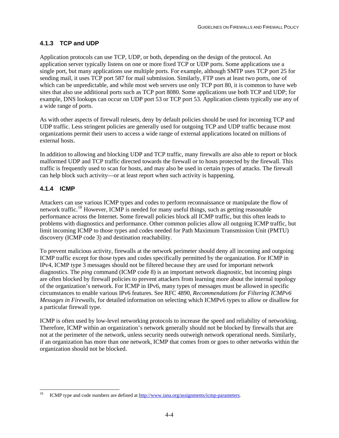#### <span id="page-30-0"></span>**4.1.3 TCP and UDP**

Application protocols can use TCP, UDP, or both, depending on the design of the protocol. An application server typically listens on one or more fixed TCP or UDP ports. Some applications use a single port, but many applications use multiple ports. For example, although SMTP uses TCP port 25 for sending mail, it uses TCP port 587 for mail submission. Similarly, FTP uses at least two ports, one of which can be unpredictable, and while most web servers use only TCP port 80, it is common to have web sites that also use additional ports such as TCP port 8080. Some applications use both TCP and UDP; for example, DNS lookups can occur on UDP port 53 or TCP port 53. Application clients typically use any of a wide range of ports.

As with other aspects of firewall rulesets, deny by default policies should be used for incoming TCP and UDP traffic. Less stringent policies are generally used for outgoing TCP and UDP traffic because most organizations permit their users to access a wide range of external applications located on millions of external hosts.

In addition to allowing and blocking UDP and TCP traffic, many firewalls are also able to report or block malformed UDP and TCP traffic directed towards the firewall or to hosts protected by the firewall. This traffic is frequently used to scan for hosts, and may also be used in certain types of attacks. The firewall can help block such activity—or at least report when such activity is happening.

#### **4.1.4 ICMP**

Attackers can use various ICMP types and codes to perform reconnaissance or manipulate the flow of network traffic.<sup>[18](#page-30-1)</sup> However, ICMP is needed for many useful things, such as getting reasonable performance across the Internet. Some firewall policies block all ICMP traffic, but this often leads to problems with diagnostics and performance. Other common policies allow all outgoing ICMP traffic, but limit incoming ICMP to those types and codes needed for Path Maximum Transmission Unit (PMTU) discovery (ICMP code 3) and destination reachability.

To prevent malicious activity, firewalls at the network perimeter should deny all incoming and outgoing ICMP traffic except for those types and codes specifically permitted by the organization. For ICMP in IPv4, ICMP type 3 messages should not be filtered because they are used for important network diagnostics. The *ping* command (ICMP code 8) is an important network diagnostic, but incoming pings are often blocked by firewall policies to prevent attackers from learning more about the internal topology of the organization's network. For ICMP in IPv6, many types of messages must be allowed in specific circumstances to enable various IPv6 features. See RFC 4890, *Recommendations for Filtering ICMPv6 Messages in Firewalls*, for detailed information on selecting which ICMPv6 types to allow or disallow for a particular firewall type.

ICMP is often used by low-level networking protocols to increase the speed and reliability of networking. Therefore, ICMP within an organization's network generally should not be blocked by firewalls that are not at the perimeter of the network, unless security needs outweigh network operational needs. Similarly, if an organization has more than one network, ICMP that comes from or goes to other networks within the organization should not be blocked.

<span id="page-30-1"></span><sup>1</sup> ICMP type and code numbers are defined at [http://www.iana.org/assignments/icmp-parameters.](http://www.iana.org/assignments/icmp-parameters)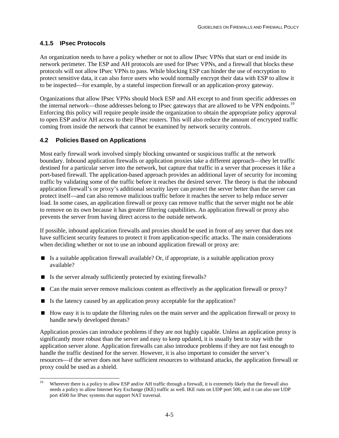#### <span id="page-31-0"></span>**4.1.5 IPsec Protocols**

An organization needs to have a policy whether or not to allow IPsec VPNs that start or end inside its network perimeter. The ESP and AH protocols are used for IPsec VPNs, and a firewall that blocks these protocols will not allow IPsec VPNs to pass. While blocking ESP can hinder the use of encryption to protect sensitive data, it can also force users who would normally encrypt their data with ESP to allow it to be inspected—for example, by a stateful inspection firewall or an application-proxy gateway.

Organizations that allow IPsec VPNs should block ESP and AH except to and from specific addresses on the internal network—those addresses belong to IPsec gateways that are allowed to be VPN endpoints.<sup>[19](#page-31-1)</sup> Enforcing this policy will require people inside the organization to obtain the appropriate policy approval to open ESP and/or AH access to their IPsec routers. This will also reduce the amount of encrypted traffic coming from inside the network that cannot be examined by network security controls.

#### **4.2 Policies Based on Applications**

Most early firewall work involved simply blocking unwanted or suspicious traffic at the network boundary. Inbound application firewalls or application proxies take a different approach—they let traffic destined for a particular server into the network, but capture that traffic in a server that processes it like a port-based firewall. The application-based approach provides an additional layer of security for incoming traffic by validating some of the traffic before it reaches the desired server. The theory is that the inbound application firewall's or proxy's additional security layer can protect the server better than the server can protect itself—and can also remove malicious traffic before it reaches the server to help reduce server load. In some cases, an application firewall or proxy can remove traffic that the server might not be able to remove on its own because it has greater filtering capabilities. An application firewall or proxy also prevents the server from having direct access to the outside network.

If possible, inbound application firewalls and proxies should be used in front of any server that does not have sufficient security features to protect it from application-specific attacks. The main considerations when deciding whether or not to use an inbound application firewall or proxy are:

- $\blacksquare$  Is a suitable application firewall available? Or, if appropriate, is a suitable application proxy available?
- $\blacksquare$  Is the server already sufficiently protected by existing firewalls?
- Can the main server remove malicious content as effectively as the application firewall or proxy?
- If Is the latency caused by an application proxy acceptable for the application?
- How easy it is to update the filtering rules on the main server and the application firewall or proxy to handle newly developed threats?

Application proxies can introduce problems if they are not highly capable. Unless an application proxy is significantly more robust than the server and easy to keep updated, it is usually best to stay with the application server alone. Application firewalls can also introduce problems if they are not fast enough to handle the traffic destined for the server. However, it is also important to consider the server's resources—if the server does not have sufficient resources to withstand attacks, the application firewall or proxy could be used as a shield.

<span id="page-31-1"></span><sup>1</sup> Wherever there is a policy to allow ESP and/or AH traffic through a firewall, it is extremely likely that the firewall also needs a policy to allow Internet Key Exchange (IKE) traffic as well. IKE runs on UDP port 500, and it can also use UDP port 4500 for IPsec systems that support NAT traversal.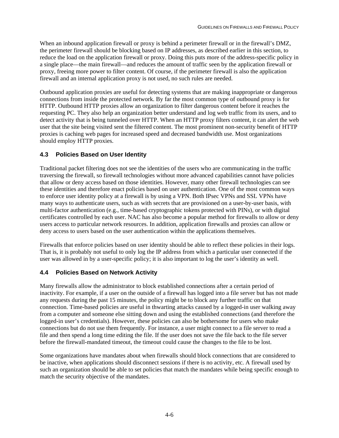<span id="page-32-0"></span>When an inbound application firewall or proxy is behind a perimeter firewall or in the firewall's DMZ, the perimeter firewall should be blocking based on IP addresses, as described earlier in this section, to reduce the load on the application firewall or proxy. Doing this puts more of the address-specific policy in a single place—the main firewall—and reduces the amount of traffic seen by the application firewall or proxy, freeing more power to filter content. Of course, if the perimeter firewall is also the application firewall and an internal application proxy is not used, no such rules are needed.

Outbound application proxies are useful for detecting systems that are making inappropriate or dangerous connections from inside the protected network. By far the most common type of outbound proxy is for HTTP. Outbound HTTP proxies allow an organization to filter dangerous content before it reaches the requesting PC. They also help an organization better understand and log web traffic from its users, and to detect activity that is being tunneled over HTTP. When an HTTP proxy filters content, it can alert the web user that the site being visited sent the filtered content. The most prominent non-security benefit of HTTP proxies is caching web pages for increased speed and decreased bandwidth use. Most organizations should employ HTTP proxies.

#### **4.3 Policies Based on User Identity**

Traditional packet filtering does not see the identities of the users who are communicating in the traffic traversing the firewall, so firewall technologies without more advanced capabilities cannot have policies that allow or deny access based on those identities. However, many other firewall technologies can see these identities and therefore enact policies based on user authentication. One of the most common ways to enforce user identity policy at a firewall is by using a VPN. Both IPsec VPNs and SSL VPNs have many ways to authenticate users, such as with secrets that are provisioned on a user-by-user basis, with multi-factor authentication (e.g., time-based cryptographic tokens protected with PINs), or with digital certificates controlled by each user. NAC has also become a popular method for firewalls to allow or deny users access to particular network resources. In addition, application firewalls and proxies can allow or deny access to users based on the user authentication within the applications themselves.

Firewalls that enforce policies based on user identity should be able to reflect these policies in their logs. That is, it is probably not useful to only log the IP address from which a particular user connected if the user was allowed in by a user-specific policy; it is also important to log the user's identity as well.

#### **4.4 Policies Based on Network Activity**

Many firewalls allow the administrator to block established connections after a certain period of inactivity. For example, if a user on the outside of a firewall has logged into a file server but has not made any requests during the past 15 minutes, the policy might be to block any further traffic on that connection. Time-based policies are useful in thwarting attacks caused by a logged-in user walking away from a computer and someone else sitting down and using the established connections (and therefore the logged-in user's credentials). However, these policies can also be bothersome for users who make connections but do not use them frequently. For instance, a user might connect to a file server to read a file and then spend a long time editing the file. If the user does not save the file back to the file server before the firewall-mandated timeout, the timeout could cause the changes to the file to be lost.

Some organizations have mandates about when firewalls should block connections that are considered to be inactive, when applications should disconnect sessions if there is no activity, etc. A firewall used by such an organization should be able to set policies that match the mandates while being specific enough to match the security objective of the mandates.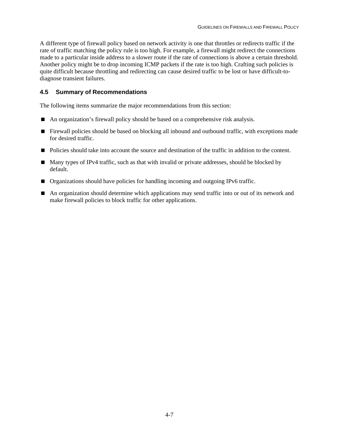<span id="page-33-0"></span>A different type of firewall policy based on network activity is one that throttles or redirects traffic if the rate of traffic matching the policy rule is too high. For example, a firewall might redirect the connections made to a particular inside address to a slower route if the rate of connections is above a certain threshold. Another policy might be to drop incoming ICMP packets if the rate is too high. Crafting such policies is quite difficult because throttling and redirecting can cause desired traffic to be lost or have difficult-todiagnose transient failures.

#### **4.5 Summary of Recommendations**

The following items summarize the major recommendations from this section:

- An organization's firewall policy should be based on a comprehensive risk analysis.
- Firewall policies should be based on blocking all inbound and outbound traffic, with exceptions made for desired traffic.
- Policies should take into account the source and destination of the traffic in addition to the content.
- Many types of IPv4 traffic, such as that with invalid or private addresses, should be blocked by default.
- Organizations should have policies for handling incoming and outgoing IPv6 traffic.
- An organization should determine which applications may send traffic into or out of its network and make firewall policies to block traffic for other applications.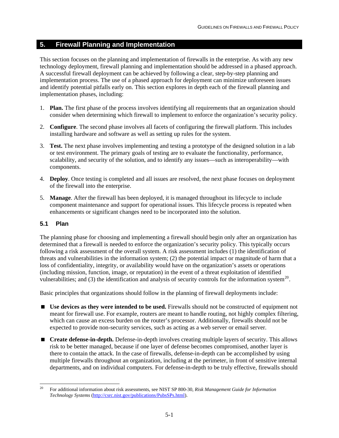#### <span id="page-34-0"></span>**5. Firewall Planning and Implementation**

This section focuses on the planning and implementation of firewalls in the enterprise. As with any new technology deployment, firewall planning and implementation should be addressed in a phased approach. A successful firewall deployment can be achieved by following a clear, step-by-step planning and implementation process. The use of a phased approach for deployment can minimize unforeseen issues and identify potential pitfalls early on. This section explores in depth each of the firewall planning and implementation phases, including:

- 1. **Plan.** The first phase of the process involves identifying all requirements that an organization should consider when determining which firewall to implement to enforce the organization's security policy.
- 2. **Configure**. The second phase involves all facets of configuring the firewall platform. This includes installing hardware and software as well as setting up rules for the system.
- 3. **Test.** The next phase involves implementing and testing a prototype of the designed solution in a lab or test environment. The primary goals of testing are to evaluate the functionality, performance, scalability, and security of the solution, and to identify any issues—such as interoperability—with components.
- 4. **Deploy**. Once testing is completed and all issues are resolved, the next phase focuses on deployment of the firewall into the enterprise.
- 5. **Manage**. After the firewall has been deployed, it is managed throughout its lifecycle to include component maintenance and support for operational issues. This lifecycle process is repeated when enhancements or significant changes need to be incorporated into the solution.

#### **5.1 Plan**

The planning phase for choosing and implementing a firewall should begin only after an organization has determined that a firewall is needed to enforce the organization's security policy. This typically occurs following a risk assessment of the overall system. A risk assessment includes (1) the identification of threats and vulnerabilities in the information system; (2) the potential impact or magnitude of harm that a loss of confidentiality, integrity, or availability would have on the organization's assets or operations (including mission, function, image, or reputation) in the event of a threat exploitation of identified vulnerabilities; and (3) the identification and analysis of security controls for the information system<sup>[20](#page-34-1)</sup>.

Basic principles that organizations should follow in the planning of firewall deployments include:

- Use devices as they were intended to be used. Firewalls should not be constructed of equipment not meant for firewall use. For example, routers are meant to handle routing, not highly complex filtering, which can cause an excess burden on the router's processor. Additionally, firewalls should not be expected to provide non-security services, such as acting as a web server or email server.
- **Create defense-in-depth.** Defense-in-depth involves creating multiple layers of security. This allows risk to be better managed, because if one layer of defense becomes compromised, another layer is there to contain the attack. In the case of firewalls, defense-in-depth can be accomplished by using multiple firewalls throughout an organization, including at the perimeter, in front of sensitive internal departments, and on individual computers. For defense-in-depth to be truly effective, firewalls should

<span id="page-34-1"></span><sup>20</sup> 20 For additional information about risk assessments, see NIST SP 800-30, *Risk Management Guide for Information Technology Systems* [\(http://csrc.nist.gov/publications/PubsSPs.html\)](http://csrc.nist.gov/publications/PubsSPs.html).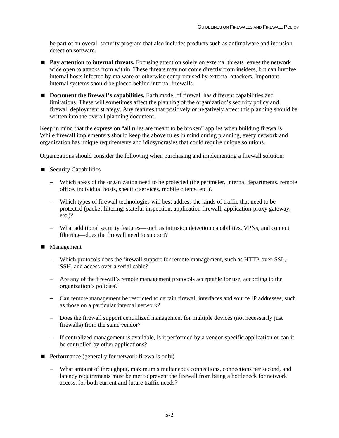be part of an overall security program that also includes products such as antimalware and intrusion detection software

- **Pay attention to internal threats.** Focusing attention solely on external threats leaves the network wide open to attacks from within. These threats may not come directly from insiders, but can involve internal hosts infected by malware or otherwise compromised by external attackers. Important internal systems should be placed behind internal firewalls.
- **Document the firewall's capabilities.** Each model of firewall has different capabilities and limitations. These will sometimes affect the planning of the organization's security policy and firewall deployment strategy. Any features that positively or negatively affect this planning should be written into the overall planning document.

Keep in mind that the expression "all rules are meant to be broken" applies when building firewalls. While firewall implementers should keep the above rules in mind during planning, every network and organization has unique requirements and idiosyncrasies that could require unique solutions.

Organizations should consider the following when purchasing and implementing a firewall solution:

- Security Capabilities
	- Which areas of the organization need to be protected (the perimeter, internal departments, remote office, individual hosts, specific services, mobile clients, etc.)?
	- Which types of firewall technologies will best address the kinds of traffic that need to be protected (packet filtering, stateful inspection, application firewall, application-proxy gateway, etc.)?
	- What additional security features—such as intrusion detection capabilities, VPNs, and content filtering—does the firewall need to support?

**Management** 

- Which protocols does the firewall support for remote management, such as HTTP-over-SSL, SSH, and access over a serial cable?
- Are any of the firewall's remote management protocols acceptable for use, according to the organization's policies?
- Can remote management be restricted to certain firewall interfaces and source IP addresses, such as those on a particular internal network?
- Does the firewall support centralized management for multiple devices (not necessarily just firewalls) from the same vendor?
- If centralized management is available, is it performed by a vendor-specific application or can it be controlled by other applications?
- $\blacksquare$  Performance (generally for network firewalls only)
	- What amount of throughput, maximum simultaneous connections, connections per second, and latency requirements must be met to prevent the firewall from being a bottleneck for network access, for both current and future traffic needs?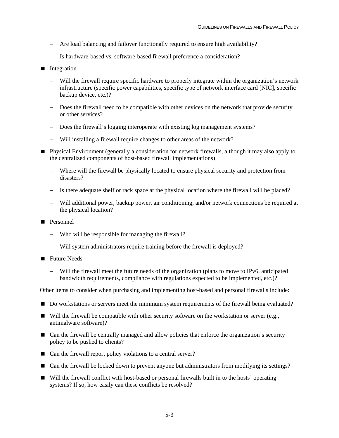- Are load balancing and failover functionally required to ensure high availability?
- Is hardware-based vs. software-based firewall preference a consideration?
- **Integration** 
	- Will the firewall require specific hardware to properly integrate within the organization's network infrastructure (specific power capabilities, specific type of network interface card [NIC], specific backup device, etc.)?
	- Does the firewall need to be compatible with other devices on the network that provide security or other services?
	- Does the firewall's logging interoperate with existing log management systems?
	- Will installing a firewall require changes to other areas of the network?
- Physical Environment (generally a consideration for network firewalls, although it may also apply to the centralized components of host-based firewall implementations)
	- Where will the firewall be physically located to ensure physical security and protection from disasters?
	- Is there adequate shelf or rack space at the physical location where the firewall will be placed?
	- Will additional power, backup power, air conditioning, and/or network connections be required at the physical location?
- Personnel
	- Who will be responsible for managing the firewall?
	- Will system administrators require training before the firewall is deployed?
- Future Needs
	- Will the firewall meet the future needs of the organization (plans to move to IPv6, anticipated bandwidth requirements, compliance with regulations expected to be implemented, etc.)?

Other items to consider when purchasing and implementing host-based and personal firewalls include:

- Do workstations or servers meet the minimum system requirements of the firewall being evaluated?
- $\blacksquare$  Will the firewall be compatible with other security software on the workstation or server (e.g., antimalware software)?
- Can the firewall be centrally managed and allow policies that enforce the organization's security policy to be pushed to clients?
- Can the firewall report policy violations to a central server?
- Can the firewall be locked down to prevent anyone but administrators from modifying its settings?
- Will the firewall conflict with host-based or personal firewalls built in to the hosts' operating systems? If so, how easily can these conflicts be resolved?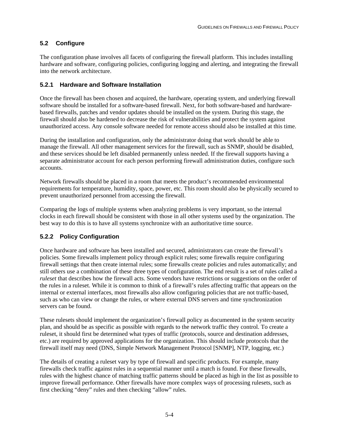#### <span id="page-37-0"></span>**5.2 Configure**

The configuration phase involves all facets of configuring the firewall platform. This includes installing hardware and software, configuring policies, configuring logging and alerting, and integrating the firewall into the network architecture.

#### **5.2.1 Hardware and Software Installation**

Once the firewall has been chosen and acquired, the hardware, operating system, and underlying firewall software should be installed for a software-based firewall. Next, for both software-based and hardwarebased firewalls, patches and vendor updates should be installed on the system. During this stage, the firewall should also be hardened to decrease the risk of vulnerabilities and protect the system against unauthorized access. Any console software needed for remote access should also be installed at this time.

During the installation and configuration, only the administrator doing that work should be able to manage the firewall. All other management services for the firewall, such as SNMP, should be disabled, and these services should be left disabled permanently unless needed. If the firewall supports having a separate administrator account for each person performing firewall administration duties, configure such accounts.

Network firewalls should be placed in a room that meets the product's recommended environmental requirements for temperature, humidity, space, power, etc. This room should also be physically secured to prevent unauthorized personnel from accessing the firewall.

Comparing the logs of multiple systems when analyzing problems is very important, so the internal clocks in each firewall should be consistent with those in all other systems used by the organization. The best way to do this is to have all systems synchronize with an authoritative time source.

#### **5.2.2 Policy Configuration**

Once hardware and software has been installed and secured, administrators can create the firewall's policies. Some firewalls implement policy through explicit rules; some firewalls require configuring firewall settings that then create internal rules; some firewalls create policies and rules automatically; and still others use a combination of these three types of configuration. The end result is a set of rules called a *ruleset* that describes how the firewall acts. Some vendors have restrictions or suggestions on the order of the rules in a ruleset. While it is common to think of a firewall's rules affecting traffic that appears on the internal or external interfaces, most firewalls also allow configuring policies that are not traffic-based, such as who can view or change the rules, or where external DNS servers and time synchronization servers can be found.

These rulesets should implement the organization's firewall policy as documented in the system security plan, and should be as specific as possible with regards to the network traffic they control. To create a ruleset, it should first be determined what types of traffic (protocols, source and destination addresses, etc.) are required by approved applications for the organization. This should include protocols that the firewall itself may need (DNS, Simple Network Management Protocol [SNMP], NTP, logging, etc.)

The details of creating a ruleset vary by type of firewall and specific products. For example, many firewalls check traffic against rules in a sequential manner until a match is found. For these firewalls, rules with the highest chance of matching traffic patterns should be placed as high in the list as possible to improve firewall performance. Other firewalls have more complex ways of processing rulesets, such as first checking "deny" rules and then checking "allow" rules.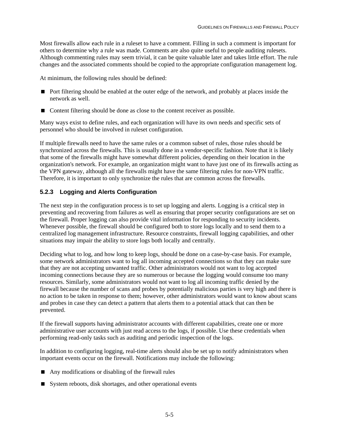<span id="page-38-0"></span>Most firewalls allow each rule in a ruleset to have a comment. Filling in such a comment is important for others to determine why a rule was made. Comments are also quite useful to people auditing rulesets. Although commenting rules may seem trivial, it can be quite valuable later and takes little effort. The rule changes and the associated comments should be copied to the appropriate configuration management log.

At minimum, the following rules should be defined:

- **Port filtering should be enabled at the outer edge of the network, and probably at places inside the** network as well.
- Content filtering should be done as close to the content receiver as possible.

Many ways exist to define rules, and each organization will have its own needs and specific sets of personnel who should be involved in ruleset configuration.

If multiple firewalls need to have the same rules or a common subset of rules, those rules should be synchronized across the firewalls. This is usually done in a vendor-specific fashion. Note that it is likely that some of the firewalls might have somewhat different policies, depending on their location in the organization's network. For example, an organization might want to have just one of its firewalls acting as the VPN gateway, although all the firewalls might have the same filtering rules for non-VPN traffic. Therefore, it is important to only synchronize the rules that are common across the firewalls.

#### **5.2.3 Logging and Alerts Configuration**

The next step in the configuration process is to set up logging and alerts. Logging is a critical step in preventing and recovering from failures as well as ensuring that proper security configurations are set on the firewall. Proper logging can also provide vital information for responding to security incidents. Whenever possible, the firewall should be configured both to store logs locally and to send them to a centralized log management infrastructure. Resource constraints, firewall logging capabilities, and other situations may impair the ability to store logs both locally and centrally.

Deciding what to log, and how long to keep logs, should be done on a case-by-case basis. For example, some network administrators want to log all incoming accepted connections so that they can make sure that they are not accepting unwanted traffic. Other administrators would not want to log accepted incoming connections because they are so numerous or because the logging would consume too many resources. Similarly, some administrators would not want to log all incoming traffic denied by the firewall because the number of scans and probes by potentially malicious parties is very high and there is no action to be taken in response to them; however, other administrators would want to know about scans and probes in case they can detect a pattern that alerts them to a potential attack that can then be prevented.

If the firewall supports having administrator accounts with different capabilities, create one or more administrative user accounts with just read access to the logs, if possible. Use these credentials when performing read-only tasks such as auditing and periodic inspection of the logs.

In addition to configuring logging, real-time alerts should also be set up to notify administrators when important events occur on the firewall. Notifications may include the following:

- Any modifications or disabling of the firewall rules
- System reboots, disk shortages, and other operational events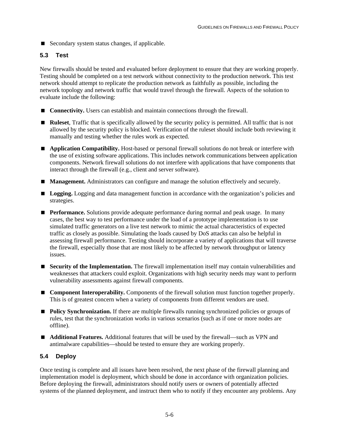<span id="page-39-0"></span>■ Secondary system status changes, if applicable.

#### **5.3 Test**

New firewalls should be tested and evaluated before deployment to ensure that they are working properly. Testing should be completed on a test network without connectivity to the production network. This test network should attempt to replicate the production network as faithfully as possible, including the network topology and network traffic that would travel through the firewall. Aspects of the solution to evaluate include the following:

- **Connectivity.** Users can establish and maintain connections through the firewall.
- **Ruleset**, Traffic that is specifically allowed by the security policy is permitted. All traffic that is not allowed by the security policy is blocked. Verification of the ruleset should include both reviewing it manually and testing whether the rules work as expected.
- **Application Compatibility.** Host-based or personal firewall solutions do not break or interfere with the use of existing software applications. This includes network communications between application components. Network firewall solutions do not interfere with applications that have components that interact through the firewall (e.g., client and server software).
- **Management.** Administrators can configure and manage the solution effectively and securely.
- **Logging.** Logging and data management function in accordance with the organization's policies and strategies.
- **Performance.** Solutions provide adequate performance during normal and peak usage. In many cases, the best way to test performance under the load of a prototype implementation is to use simulated traffic generators on a live test network to mimic the actual characteristics of expected traffic as closely as possible. Simulating the loads caused by DoS attacks can also be helpful in assessing firewall performance. Testing should incorporate a variety of applications that will traverse the firewall, especially those that are most likely to be affected by network throughput or latency issues.
- **Security of the Implementation.** The firewall implementation itself may contain vulnerabilities and weaknesses that attackers could exploit. Organizations with high security needs may want to perform vulnerability assessments against firewall components.
- **Component Interoperability.** Components of the firewall solution must function together properly. This is of greatest concern when a variety of components from different vendors are used.
- **Policy Synchronization.** If there are multiple firewalls running synchronized policies or groups of rules, test that the synchronization works in various scenarios (such as if one or more nodes are offline).
- **Additional Features.** Additional features that will be used by the firewall—such as VPN and antimalware capabilities—should be tested to ensure they are working properly.

#### **5.4 Deploy**

Once testing is complete and all issues have been resolved, the next phase of the firewall planning and implementation model is deployment, which should be done in accordance with organization policies. Before deploying the firewall, administrators should notify users or owners of potentially affected systems of the planned deployment, and instruct them who to notify if they encounter any problems. Any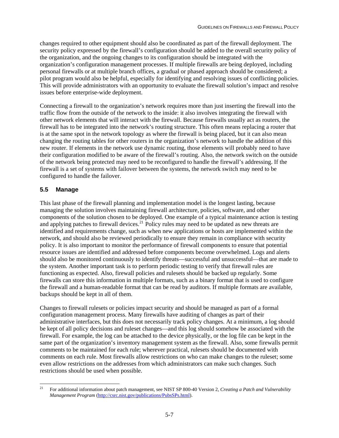<span id="page-40-0"></span>changes required to other equipment should also be coordinated as part of the firewall deployment. The security policy expressed by the firewall's configuration should be added to the overall security policy of the organization, and the ongoing changes to its configuration should be integrated with the organization's configuration management processes. If multiple firewalls are being deployed, including personal firewalls or at multiple branch offices, a gradual or phased approach should be considered; a pilot program would also be helpful, especially for identifying and resolving issues of conflicting policies. This will provide administrators with an opportunity to evaluate the firewall solution's impact and resolve issues before enterprise-wide deployment.

Connecting a firewall to the organization's network requires more than just inserting the firewall into the traffic flow from the outside of the network to the inside: it also involves integrating the firewall with other network elements that will interact with the firewall. Because firewalls usually act as routers, the firewall has to be integrated into the network's routing structure. This often means replacing a router that is at the same spot in the network topology as where the firewall is being placed, but it can also mean changing the routing tables for other routers in the organization's network to handle the addition of this new router. If elements in the network use dynamic routing, those elements will probably need to have their configuration modified to be aware of the firewall's routing. Also, the network switch on the outside of the network being protected may need to be reconfigured to handle the firewall's addressing. If the firewall is a set of systems with failover between the systems, the network switch may need to be configured to handle the failover.

#### **5.5 Manage**

This last phase of the firewall planning and implementation model is the longest lasting, because managing the solution involves maintaining firewall architecture, policies, software, and other components of the solution chosen to be deployed. One example of a typical maintenance action is testing and applying patches to firewall devices.<sup>[21](#page-40-1)</sup> Policy rules may need to be updated as new threats are identified and requirements change, such as when new applications or hosts are implemented within the network, and should also be reviewed periodically to ensure they remain in compliance with security policy. It is also important to monitor the performance of firewall components to ensure that potential resource issues are identified and addressed before components become overwhelmed. Logs and alerts should also be monitored continuously to identify threats—successful and unsuccessful—that are made to the system. Another important task is to perform periodic testing to verify that firewall rules are functioning as expected. Also, firewall policies and rulesets should be backed up regularly. Some firewalls can store this information in multiple formats, such as a binary format that is used to configure the firewall and a human-readable format that can be read by auditors. If multiple formats are available, backups should be kept in all of them.

Changes to firewall rulesets or policies impact security and should be managed as part of a formal configuration management process. Many firewalls have auditing of changes as part of their administrative interfaces, but this does not necessarily track policy changes. At a minimum, a log should be kept of all policy decisions and ruleset changes—and this log should somehow be associated with the firewall. For example, the log can be attached to the device physically, or the log file can be kept in the same part of the organization's inventory management system as the firewall. Also, some firewalls permit comments to be maintained for each rule; wherever practical, rulesets should be documented with comments on each rule. Most firewalls allow restrictions on who can make changes to the ruleset; some even allow restrictions on the addresses from which administrators can make such changes. Such restrictions should be used when possible.

<span id="page-40-1"></span> $21$ 21 For additional information about patch management, see NIST SP 800-40 Version 2, *Creating a Patch and Vulnerability Management Program* ([http://csrc.nist.gov/publications/PubsSPs.html\)](http://csrc.nist.gov/publications/PubsSPs.html).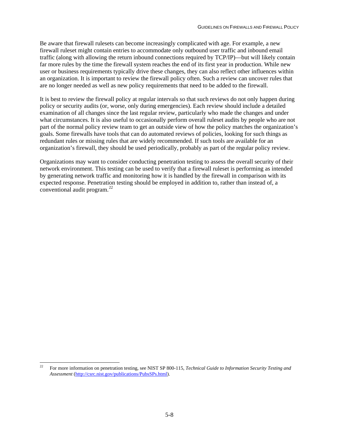Be aware that firewall rulesets can become increasingly complicated with age. For example, a new firewall ruleset might contain entries to accommodate only outbound user traffic and inbound email traffic (along with allowing the return inbound connections required by TCP/IP)—but will likely contain far more rules by the time the firewall system reaches the end of its first year in production. While new user or business requirements typically drive these changes, they can also reflect other influences within an organization. It is important to review the firewall policy often. Such a review can uncover rules that are no longer needed as well as new policy requirements that need to be added to the firewall.

It is best to review the firewall policy at regular intervals so that such reviews do not only happen during policy or security audits (or, worse, only during emergencies). Each review should include a detailed examination of all changes since the last regular review, particularly who made the changes and under what circumstances. It is also useful to occasionally perform overall rules t audits by people who are not part of the normal policy review team to get an outside view of how the policy matches the organization's goals. Some firewalls have tools that can do automated reviews of policies, looking for such things as redundant rules or missing rules that are widely recommended. If such tools are available for an organization's firewall, they should be used periodically, probably as part of the regular policy review.

Organizations may want to consider conducting penetration testing to assess the overall security of their network environment. This testing can be used to verify that a firewall ruleset is performing as intended by generating network traffic and monitoring how it is handled by the firewall in comparison with its expected response. Penetration testing should be employed in addition to, rather than instead of, a conventional audit program.[22](#page-41-0)

<span id="page-41-0"></span> $22$ 22 For more information on penetration testing, see NIST SP 800-115, *Technical Guide to Information Security Testing and Assessment* [\(http://csrc.nist.gov/publications/PubsSPs.html\)](http://csrc.nist.gov/publications/PubsSPs.html).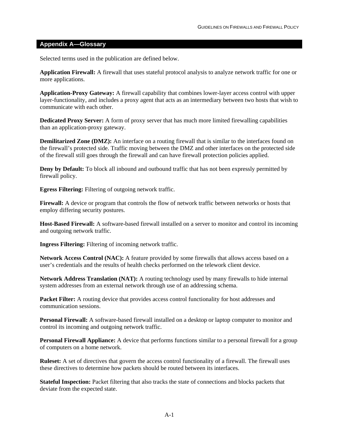#### <span id="page-42-0"></span>**Appendix A—Glossary**

Selected terms used in the publication are defined below.

**Application Firewall:** A firewall that uses stateful protocol analysis to analyze network traffic for one or more applications.

**Application-Proxy Gateway:** A firewall capability that combines lower-layer access control with upper layer-functionality, and includes a proxy agent that acts as an intermediary between two hosts that wish to communicate with each other.

**Dedicated Proxy Server:** A form of proxy server that has much more limited firewalling capabilities than an application-proxy gateway.

**Demilitarized Zone (DMZ):** An interface on a routing firewall that is similar to the interfaces found on the firewall's protected side. Traffic moving between the DMZ and other interfaces on the protected side of the firewall still goes through the firewall and can have firewall protection policies applied.

**Deny by Default:** To block all inbound and outbound traffic that has not been expressly permitted by firewall policy.

**Egress Filtering:** Filtering of outgoing network traffic.

**Firewall:** A device or program that controls the flow of network traffic between networks or hosts that employ differing security postures.

**Host-Based Firewall:** A software-based firewall installed on a server to monitor and control its incoming and outgoing network traffic.

**Ingress Filtering:** Filtering of incoming network traffic.

**Network Access Control (NAC):** A feature provided by some firewalls that allows access based on a user's credentials and the results of health checks performed on the telework client device.

**Network Address Translation (NAT):** A routing technology used by many firewalls to hide internal system addresses from an external network through use of an addressing schema.

**Packet Filter:** A routing device that provides access control functionality for host addresses and communication sessions.

**Personal Firewall:** A software-based firewall installed on a desktop or laptop computer to monitor and control its incoming and outgoing network traffic.

**Personal Firewall Appliance:** A device that performs functions similar to a personal firewall for a group of computers on a home network.

**Ruleset:** A set of directives that govern the access control functionality of a firewall. The firewall uses these directives to determine how packets should be routed between its interfaces.

**Stateful Inspection:** Packet filtering that also tracks the state of connections and blocks packets that deviate from the expected state.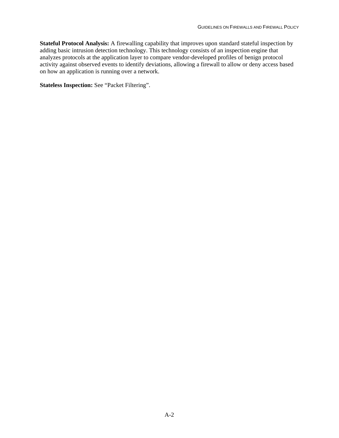**Stateful Protocol Analysis:** A firewalling capability that improves upon standard stateful inspection by adding basic intrusion detection technology. This technology consists of an inspection engine that analyzes protocols at the application layer to compare vendor-developed profiles of benign protocol activity against observed events to identify deviations, allowing a firewall to allow or deny access based on how an application is running over a network.

**Stateless Inspection:** See "Packet Filtering".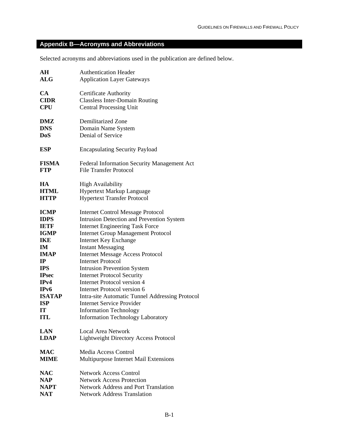# <span id="page-44-0"></span>**Appendix B—Acronyms and Abbreviations**

Selected acronyms and abbreviations used in the publication are defined below.

| AН<br>ALG         | <b>Authentication Header</b><br><b>Application Layer Gateways</b> |
|-------------------|-------------------------------------------------------------------|
| <b>CA</b>         | <b>Certificate Authority</b>                                      |
| <b>CIDR</b>       | <b>Classless Inter-Domain Routing</b>                             |
| <b>CPU</b>        | <b>Central Processing Unit</b>                                    |
|                   |                                                                   |
| DMZ               | <b>Demilitarized Zone</b>                                         |
| <b>DNS</b>        | Domain Name System                                                |
| <b>DoS</b>        | Denial of Service                                                 |
| ESP               | <b>Encapsulating Security Payload</b>                             |
| <b>FISMA</b>      | <b>Federal Information Security Management Act</b>                |
| <b>FTP</b>        | <b>File Transfer Protocol</b>                                     |
| <b>HA</b>         | <b>High Availability</b>                                          |
| <b>HTML</b>       | <b>Hypertext Markup Language</b>                                  |
| <b>HTTP</b>       | <b>Hypertext Transfer Protocol</b>                                |
| <b>ICMP</b>       | <b>Internet Control Message Protocol</b>                          |
| <b>IDPS</b>       | Intrusion Detection and Prevention System                         |
| <b>IETF</b>       | <b>Internet Engineering Task Force</b>                            |
| <b>IGMP</b>       | <b>Internet Group Management Protocol</b>                         |
| IKE               | <b>Internet Key Exchange</b>                                      |
| IM                | <b>Instant Messaging</b>                                          |
| <b>IMAP</b>       | <b>Internet Message Access Protocol</b>                           |
| IP                | <b>Internet Protocol</b>                                          |
| <b>IPS</b>        | <b>Intrusion Prevention System</b>                                |
| <b>IPsec</b>      | <b>Internet Protocol Security</b>                                 |
| IPv4              | <b>Internet Protocol version 4</b>                                |
| IP <sub>v</sub> 6 | Internet Protocol version 6                                       |
| <b>ISATAP</b>     | Intra-site Automatic Tunnel Addressing Protocol                   |
| <b>ISP</b>        | Internet Service Provider                                         |
| IT                | <b>Information Technology</b>                                     |
| <b>ITL</b>        | <b>Information Technology Laboratory</b>                          |
| <b>LAN</b>        | <b>Local Area Network</b>                                         |
| <b>LDAP</b>       | <b>Lightweight Directory Access Protocol</b>                      |
| <b>MAC</b>        | <b>Media Access Control</b>                                       |
| <b>MIME</b>       | Multipurpose Internet Mail Extensions                             |
| <b>NAC</b>        | <b>Network Access Control</b>                                     |
| <b>NAP</b>        | <b>Network Access Protection</b>                                  |
| <b>NAPT</b>       | <b>Network Address and Port Translation</b>                       |
| <b>NAT</b>        | <b>Network Address Translation</b>                                |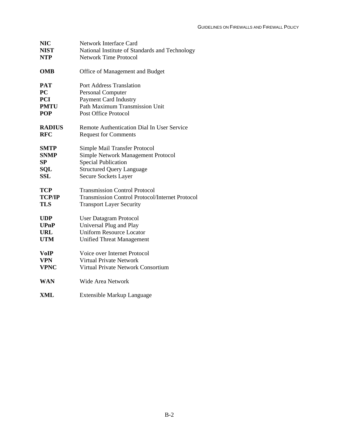| <b>NIC</b>                  | Network Interface Card                                                    |
|-----------------------------|---------------------------------------------------------------------------|
| <b>NIST</b>                 | National Institute of Standards and Technology                            |
| <b>NTP</b>                  | <b>Network Time Protocol</b>                                              |
| <b>OMB</b>                  | Office of Management and Budget                                           |
| <b>PAT</b>                  | <b>Port Address Translation</b>                                           |
| <b>PC</b>                   | <b>Personal Computer</b>                                                  |
| <b>PCI</b>                  | <b>Payment Card Industry</b>                                              |
| <b>PMTU</b>                 | Path Maximum Transmission Unit                                            |
| <b>POP</b>                  | <b>Post Office Protocol</b>                                               |
| <b>RADIUS</b><br><b>RFC</b> | Remote Authentication Dial In User Service<br><b>Request for Comments</b> |
| <b>SMTP</b>                 | Simple Mail Transfer Protocol                                             |
| <b>SNMP</b>                 | Simple Network Management Protocol                                        |
| SP                          | <b>Special Publication</b>                                                |
| <b>SQL</b>                  | <b>Structured Query Language</b>                                          |
| <b>SSL</b>                  | Secure Sockets Layer                                                      |
| <b>TCP</b>                  | <b>Transmission Control Protocol</b>                                      |
| <b>TCP/IP</b>               | <b>Transmission Control Protocol/Internet Protocol</b>                    |
| <b>TLS</b>                  | <b>Transport Layer Security</b>                                           |
| <b>UDP</b>                  | <b>User Datagram Protocol</b>                                             |
| <b>UPnP</b>                 | Universal Plug and Play                                                   |
| <b>URL</b>                  | <b>Uniform Resource Locator</b>                                           |
| <b>UTM</b>                  | <b>Unified Threat Management</b>                                          |
| VoIP                        | Voice over Internet Protocol                                              |
| <b>VPN</b>                  | <b>Virtual Private Network</b>                                            |
| <b>VPNC</b>                 | Virtual Private Network Consortium                                        |
| <b>WAN</b>                  | <b>Wide Area Network</b>                                                  |
| <b>XML</b>                  | Extensible Markup Language                                                |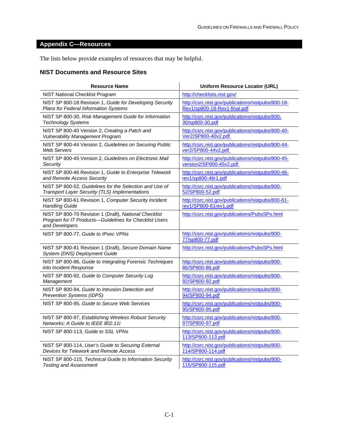# <span id="page-46-0"></span>**Appendix C—Resources**

The lists below provide examples of resources that may be helpful.

#### **NIST Documents and Resource Sites**

| <b>Resource Name</b>                                                                                                              | <b>Uniform Resource Locator (URL)</b>                                |
|-----------------------------------------------------------------------------------------------------------------------------------|----------------------------------------------------------------------|
| <b>NIST National Checklist Program</b>                                                                                            | http://checklists.nist.gov/                                          |
| NIST SP 800-18 Revision 1, Guide for Developing Security                                                                          | http://csrc.nist.gov/publications/nistpubs/800-18-                   |
| Plans for Federal Information Systems                                                                                             | Rev1/sp800-18-Rev1-final.pdf                                         |
| NIST SP 800-30, Risk Management Guide for Information                                                                             | http://csrc.nist.gov/publications/nistpubs/800-                      |
| <b>Technology Systems</b>                                                                                                         | 30/sp800-30.pdf                                                      |
| NIST SP 800-40 Version 2, Creating a Patch and                                                                                    | http://csrc.nist.gov/publications/nistpubs/800-40-                   |
| <b>Vulnerability Management Program</b>                                                                                           | Ver2/SP800-40v2.pdf                                                  |
| NIST SP 800-44 Version 2, Guidelines on Securing Public                                                                           | http://csrc.nist.gov/publications/nistpubs/800-44-                   |
| Web Servers                                                                                                                       | ver2/SP800-44v2.pdf                                                  |
| NIST SP 800-45 Version 2, Guidelines on Electronic Mail                                                                           | http://csrc.nist.gov/publications/nistpubs/800-45-                   |
| Security                                                                                                                          | version2/SP800-45v2.pdf                                              |
| NIST SP 800-46 Revision 1, Guide to Enterprise Telework                                                                           | http://csrc.nist.gov/publications/nistpubs/800-46-                   |
| and Remote Access Security                                                                                                        | rev1/sp800-46r1.pdf                                                  |
| NIST SP 800-52, Guidelines for the Selection and Use of                                                                           | http://csrc.nist.gov/publications/nistpubs/800-                      |
| Transport Layer Security (TLS) Implementations                                                                                    | 52/SP800-52.pdf                                                      |
| NIST SP 800-61 Revision 1, Computer Security Incident                                                                             | http://csrc.nist.gov/publications/nistpubs/800-61-                   |
| <b>Handling Guide</b>                                                                                                             | rev1/SP800-61rev1.pdf                                                |
| NIST SP 800-70 Revision 1 (Draft), National Checklist<br>Program for IT Products-Guidelines for Checklist Users<br>and Developers | http://csrc.nist.gov/publications/PubsSPs.html                       |
| NIST SP 800-77, Guide to IPsec VPNs                                                                                               | http://csrc.nist.gov/publications/nistpubs/800-<br>77/sp800-77.pdf   |
| NIST SP 800-81 Revision 1 (Draft), Secure Domain Name<br>System (DNS) Deployment Guide                                            | http://csrc.nist.gov/publications/PubsSPs.html                       |
| NIST SP 800-86, Guide to Integrating Forensic Techniques                                                                          | http://csrc.nist.gov/publications/nistpubs/800-                      |
| into Incident Response                                                                                                            | 86/SP800-86.pdf                                                      |
| NIST SP 800-92, Guide to Computer Security Log                                                                                    | http://csrc.nist.gov/publications/nistpubs/800-                      |
| Management                                                                                                                        | 92/SP800-92.pdf                                                      |
| NIST SP 800-94, Guide to Intrusion Detection and                                                                                  | http://csrc.nist.gov/publications/nistpubs/800-                      |
| Prevention Systems (IDPS)                                                                                                         | 94/SP800-94.pdf                                                      |
| NIST SP 800-95, Guide to Secure Web Services                                                                                      | http://csrc.nist.gov/publications/nistpubs/800-<br>95/SP800-95.pdf   |
| NIST SP 800-97, Establishing Wireless Robust Security                                                                             | http://csrc.nist.gov/publications/nistpubs/800-                      |
| Networks: A Guide to IEEE 802.11i                                                                                                 | 97/SP800-97.pdf                                                      |
| NIST SP 800-113, Guide to SSL VPNs                                                                                                | http://csrc.nist.gov/publications/nistpubs/800-<br>113/SP800-113.pdf |
| NIST SP 800-114, User's Guide to Securing External                                                                                | http://csrc.nist.gov/publications/nistpubs/800-                      |
| Devices for Telework and Remote Access                                                                                            | 114/SP800-114.pdf                                                    |
| NIST SP 800-115, Technical Guide to Information Security                                                                          | http://csrc.nist.gov/publications/nistpubs/800-                      |
| Testing and Assessment                                                                                                            | 115/SP800-115.pdf                                                    |